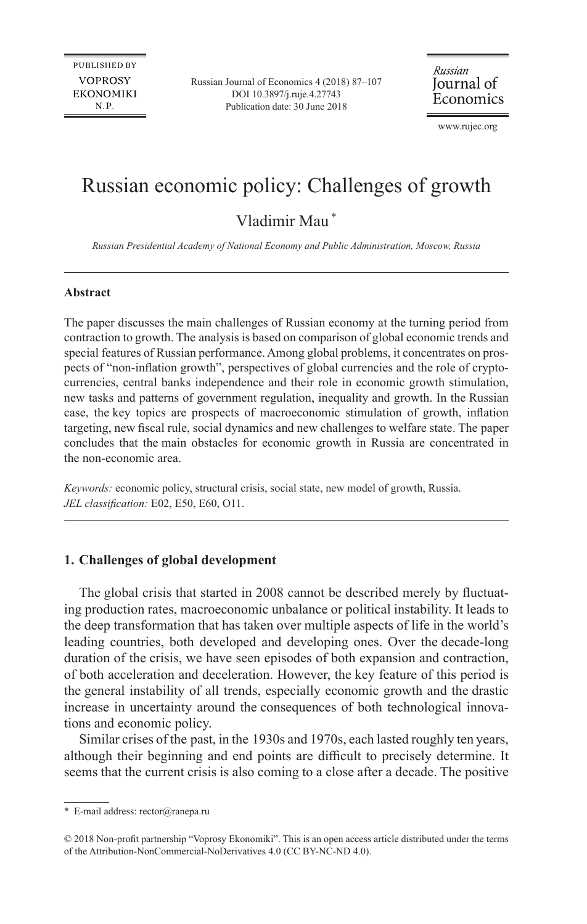Russian Journal of Economics 4 (2018) 87–107 [DOI 10.3897/j.ruje.4.27743](https://doi.org/10.3897/j.ruje.4.27743) Publication date: 30 June 2018

Russian Journal of Economics

[www.rujec.org](http://www.rujec.org)

# Russian economic policy: Challenges of growth

Vladimir Mau\*

*Russian Presidential Academy of National Economy and Public Administration, Moscow, Russia*

#### **Abstract**

The paper discusses the main challenges of Russian economy at the turning period from contraction to growth. The analysis is based on comparison of global economic trends and special features of Russian performance. Among global problems, it concentrates on prospects of "non-inflation growth", perspectives of global currencies and the role of cryptocurrencies, central banks independence and their role in economic growth stimulation, new tasks and patterns of government regulation, inequality and growth. In the Russian case, the key topics are prospects of macroeconomic stimulation of growth, inflation targeting, new fiscal rule, social dynamics and new challenges to welfare state. The paper concludes that the main obstacles for economic growth in Russia are concentrated in the non-economic area.

*Keywords:* economic policy, structural crisis, social state, new model of growth, Russia. *JEL classification:* E02, E50, E60, O11.

### **1. Challenges of global development**

The global crisis that started in 2008 cannot be described merely by fluctuating production rates, macroeconomic unbalance or political instability. It leads to the deep transformation that has taken over multiple aspects of life in the world's leading countries, both developed and developing ones. Over the decade-long duration of the crisis, we have seen episodes of both expansion and contraction, of both acceleration and deceleration. However, the key feature of this period is the general instability of all trends, especially economic growth and the drastic increase in uncertainty around the consequences of both technological innovations and economic policy.

Similar crises of the past, in the 1930s and 1970s, each lasted roughly ten years, although their beginning and end points are difficult to precisely determine. It seems that the current crisis is also coming to a close after a decade. The positive

<sup>\*</sup> E-mail address: [rector@ranepa.ru](mailto:rector@ranepa.ru)

<sup>© 2018</sup> Non-profit partnership "Voprosy Ekonomiki". This is an open access article distributed under the terms of the Attribution-NonCommercial-NoDerivatives 4.0 (CC BY-NC-ND 4.0).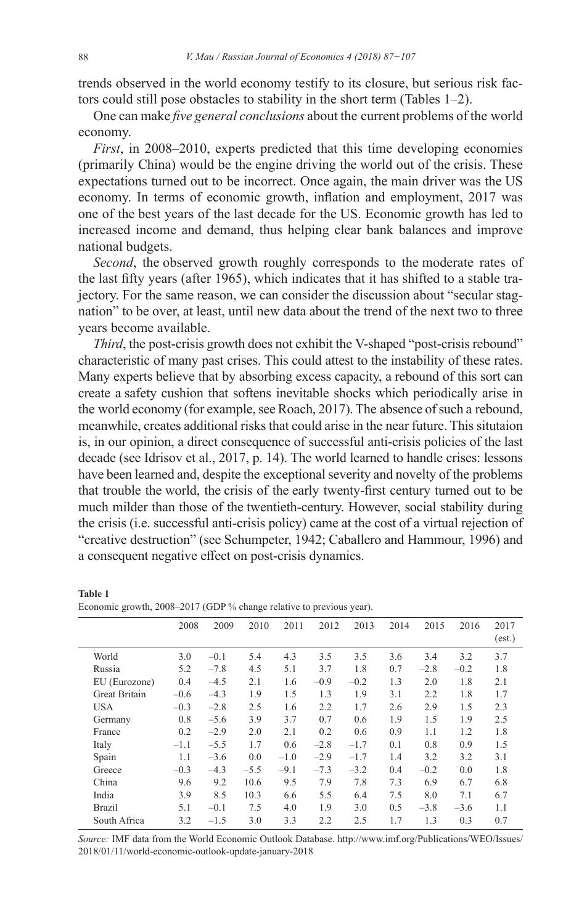trends observed in the world economy testify to its closure, but serious risk factors could still pose obstacles to stability in the short term (Tables 1–2).

One can make *five general conclusions* about the current problems of the world economy.

*First*, in 2008–2010, experts predicted that this time developing economies (primarily China) would be the engine driving the world out of the crisis. These expectations turned out to be incorrect. Once again, the main driver was the US economy. In terms of economic growth, inflation and employment, 2017 was one of the best years of the last decade for the US. Economic growth has led to increased income and demand, thus helping clear bank balances and improve national budgets.

*Second*, the observed growth roughly corresponds to the moderate rates of the last fifty years (after 1965), which indicates that it has shifted to a stable trajectory. For the same reason, we can consider the discussion about "secular stagnation" to be over, at least, until new data about the trend of the next two to three years become available.

*Third*, the post-crisis growth does not exhibit the V-shaped "post-crisis rebound" characteristic of many past crises. This could attest to the instability of these rates. Many experts believe that by absorbing excess capacity, a rebound of this sort can create a safety cushion that softens inevitable shocks which periodically arise in the world economy (for example, see Roach, 2017). The absence of such a rebound, meanwhile, creates additional risks that could arise in the near future. This situtaion is, in our opinion, a direct consequence of successful anti-crisis policies of the last decade (see Idrisov et al., 2017, p. 14). The world learned to handle crises: lessons have been learned and, despite the exceptional severity and novelty of the problems that trouble the world, the crisis of the early twenty-first century turned out to be much milder than those of the twentieth-century. However, social stability during the crisis (i.e. successful anti-crisis policy) came at the cost of a virtual rejection of "creative destruction" (see Schumpeter, 1942; Caballero and Hammour, 1996) and a consequent negative effect on post-crisis dynamics.

|                      | 2008   | 2009   | 2010   | 2011   | 2012   | 2013   | 2014 | 2015   | 2016   | 2017   |
|----------------------|--------|--------|--------|--------|--------|--------|------|--------|--------|--------|
|                      |        |        |        |        |        |        |      |        |        | (est.) |
| World                | 3.0    | $-0.1$ | 5.4    | 4.3    | 3.5    | 3.5    | 3.6  | 3.4    | 3.2    | 3.7    |
| Russia               | 5.2    | $-7.8$ | 4.5    | 5.1    | 3.7    | 1.8    | 0.7  | $-2.8$ | $-0.2$ | 1.8    |
| EU (Eurozone)        | 0.4    | $-4.5$ | 2.1    | 1.6    | $-0.9$ | $-0.2$ | 1.3  | 2.0    | 1.8    | 2.1    |
| <b>Great Britain</b> | $-0.6$ | $-4.3$ | 1.9    | 1.5    | 1.3    | 1.9    | 3.1  | 2.2    | 1.8    | 1.7    |
| <b>USA</b>           | $-0.3$ | $-2.8$ | 2.5    | 1.6    | 2.2    | 1.7    | 2.6  | 2.9    | 1.5    | 2.3    |
| Germany              | 0.8    | $-5.6$ | 3.9    | 3.7    | 0.7    | 0.6    | 1.9  | 1.5    | 1.9    | 2.5    |
| France               | 0.2    | $-2.9$ | 2.0    | 2.1    | 0.2    | 0.6    | 0.9  | 1.1    | 1.2    | 1.8    |
| Italy                | $-1.1$ | $-5.5$ | 1.7    | 0.6    | $-2.8$ | $-1.7$ | 0.1  | 0.8    | 0.9    | 1.5    |
| Spain                | 1.1    | $-3.6$ | 0.0    | $-1.0$ | $-2.9$ | $-1.7$ | 1.4  | 3.2    | 3.2    | 3.1    |
| Greece               | $-0.3$ | $-4.3$ | $-5.5$ | $-9.1$ | $-7.3$ | $-3.2$ | 0.4  | $-0.2$ | 0.0    | 1.8    |
| China                | 9.6    | 9.2    | 10.6   | 9.5    | 7.9    | 7.8    | 7.3  | 6.9    | 6.7    | 6.8    |
| India                | 3.9    | 8.5    | 10.3   | 6.6    | 5.5    | 6.4    | 7.5  | 8.0    | 7.1    | 6.7    |
| <b>Brazil</b>        | 5.1    | $-0.1$ | 7.5    | 4.0    | 1.9    | 3.0    | 0.5  | $-3.8$ | $-3.6$ | 1.1    |
| South Africa         | 3.2    | $-1.5$ | 3.0    | 3.3    | 2.2    | 2.5    | 1.7  | 1.3    | 0.3    | 0.7    |

#### Economic growth, 2008–2017 (GDP % change relative to previous year).

*Source:* IMF data from the World Economic Outlook Database. <http://www.imf.org/Publications/WEO/Issues/> 2018/01/11/world-economic-outlook-update-january-2018

**Table 1**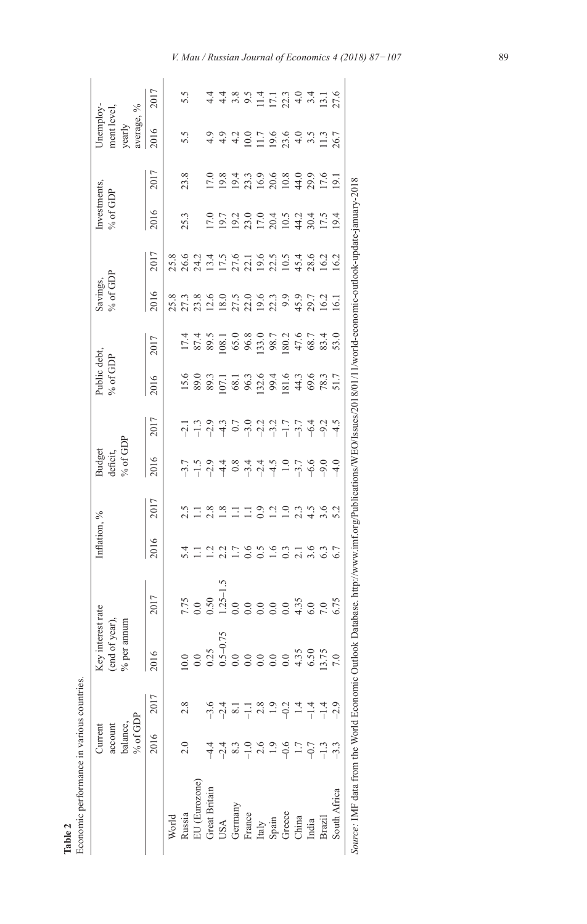|                                                                 | % of GDP<br>balance,<br>account<br>Current |                  | Key interest rate<br>(end of year),<br>num<br>$%$ per an                                                                                                                                                                                                                                                      |                                                                                                            | Inflation, %                  |               | $\%$ of GDP<br>Budget<br>deficit, |      | Public debt,<br>% of GDP                                                                                      |                              | Savings,<br>% of GDP |      | Investments,<br>% of GDP                                                      |                                                                     | Unemploy-<br>average, %<br>ment level,<br>yearly       |                            |
|-----------------------------------------------------------------|--------------------------------------------|------------------|---------------------------------------------------------------------------------------------------------------------------------------------------------------------------------------------------------------------------------------------------------------------------------------------------------------|------------------------------------------------------------------------------------------------------------|-------------------------------|---------------|-----------------------------------|------|---------------------------------------------------------------------------------------------------------------|------------------------------|----------------------|------|-------------------------------------------------------------------------------|---------------------------------------------------------------------|--------------------------------------------------------|----------------------------|
|                                                                 | 2016                                       | 2017             | 2016                                                                                                                                                                                                                                                                                                          | 2017                                                                                                       | 2016                          | 2017          | 2016                              | 2017 | 2016                                                                                                          | 2017                         | 2016                 | 2017 | 2016                                                                          | 2017                                                                | 2016                                                   | 2017                       |
| World                                                           |                                            |                  |                                                                                                                                                                                                                                                                                                               |                                                                                                            |                               |               |                                   |      |                                                                                                               |                              |                      |      |                                                                               |                                                                     |                                                        |                            |
| Russia                                                          | 2.0                                        | 2.8              |                                                                                                                                                                                                                                                                                                               |                                                                                                            | 5.4                           |               |                                   |      |                                                                                                               |                              |                      |      | 25.3                                                                          | 23.8                                                                | 5.5                                                    |                            |
| EU (Eurozone)                                                   |                                            |                  |                                                                                                                                                                                                                                                                                                               | $^{1.75}_{0.0}$                                                                                            |                               |               |                                   |      |                                                                                                               |                              |                      |      |                                                                               |                                                                     |                                                        |                            |
| <b>Great Britain</b>                                            |                                            |                  |                                                                                                                                                                                                                                                                                                               | 0.50                                                                                                       | ੁ                             | 2.8           |                                   |      |                                                                                                               |                              |                      |      |                                                                               |                                                                     |                                                        |                            |
| USA                                                             | $-2.4$                                     | .ა.<br>როდ<br>არ |                                                                                                                                                                                                                                                                                                               |                                                                                                            |                               | 1.8           |                                   |      |                                                                                                               |                              |                      |      |                                                                               |                                                                     | $9.9$<br>4.9                                           |                            |
|                                                                 | 8.3                                        |                  | $\begin{array}{l} 0.75 \\ 0.75 \\ 0.35 \\ 0.35 \\ 0.50 \\ 0.50 \\ 0.50 \\ 0.50 \\ 0.50 \\ 0.50 \\ 0.50 \\ 0.50 \\ 0.50 \\ 0.50 \\ 0.50 \\ 0.50 \\ 0.50 \\ 0.50 \\ 0.50 \\ 0.50 \\ 0.50 \\ 0.50 \\ 0.50 \\ 0.50 \\ 0.50 \\ 0.50 \\ 0.50 \\ 0.50 \\ 0.50 \\ 0.50 \\ 0.50 \\ 0.50 \\ 0.50 \\ 0.50 \\ 0.50 \\ 0.$ |                                                                                                            | $\overline{1}$ .7             | Ξ             |                                   |      | 5.8 2011 12:53 2012 12:54 2015 12:54 2015 12:54 2015 12:54 2015 12:54 2015 12:54 2015 12:55 12:55 12:55 12:55 | $1.888088807887488332488324$ |                      |      | 1 2 2 2 2 2 2 4 2 7 1<br>1 2 2 3 1 2 2 4 2 7 7 7 7<br>1 2 2 3 7 7 8 7 7 8 7 7 | 0.8.4.5.9.9.8.0.9.9.1<br>0.9.4.5.9.9.9.9.9.1<br>0.9.4.5.9.9.9.9.9.1 | 4.2                                                    | $4.89$<br>$4.89$           |
|                                                                 | $-1.0$                                     | 급                |                                                                                                                                                                                                                                                                                                               |                                                                                                            | 0.6                           | Ξ             |                                   |      |                                                                                                               |                              |                      |      |                                                                               |                                                                     | $\frac{0.0}{\sqrt{2}}$                                 |                            |
| Germany<br>France<br>Italy<br>Spain<br>Greece<br>China<br>China | 2.6                                        | 2.8              |                                                                                                                                                                                                                                                                                                               |                                                                                                            | $\sim$                        | 0.9           |                                   |      |                                                                                                               |                              |                      |      |                                                                               |                                                                     | $11.7$<br>$19.6$ 9.9 4.3<br>$13.7$<br>$11.3$<br>$26.7$ | $11.794716$<br>$11.794716$ |
|                                                                 | 1.9                                        | 1.9              |                                                                                                                                                                                                                                                                                                               |                                                                                                            | 1.6                           | $\Xi$         |                                   |      |                                                                                                               |                              |                      |      |                                                                               |                                                                     |                                                        |                            |
|                                                                 | $-0.6$                                     | $-0.2$           |                                                                                                                                                                                                                                                                                                               | 0.0                                                                                                        | 0.3                           | $\frac{0}{1}$ |                                   |      |                                                                                                               |                              |                      |      |                                                                               |                                                                     |                                                        |                            |
|                                                                 | 1.7                                        | 1.4              |                                                                                                                                                                                                                                                                                                               |                                                                                                            |                               | 2.3           |                                   |      |                                                                                                               |                              |                      |      |                                                                               |                                                                     |                                                        |                            |
|                                                                 | $-0.7$                                     | $-1.4$           |                                                                                                                                                                                                                                                                                                               | $4.35$<br>$5.0$<br>$5.75$                                                                                  | $\frac{21}{36}$ $\frac{6}{3}$ |               |                                   |      |                                                                                                               |                              |                      |      |                                                                               |                                                                     |                                                        |                            |
| Brazil                                                          | $-1.3$                                     | $-1.4$           | 13.75                                                                                                                                                                                                                                                                                                         |                                                                                                            |                               | 3.6           |                                   |      |                                                                                                               |                              |                      |      |                                                                               |                                                                     |                                                        |                            |
| South Africa                                                    |                                            | $-2.9$           |                                                                                                                                                                                                                                                                                                               |                                                                                                            |                               |               | $-4.0$                            |      |                                                                                                               |                              |                      |      |                                                                               |                                                                     |                                                        |                            |
| Source: IMF data from the World Economic Outlook I              |                                            |                  |                                                                                                                                                                                                                                                                                                               | batabase. http://www.imf.org/Publications/WEO/Issues/2018/01/11/world-economic-outlook-update-jamuary-2018 |                               |               |                                   |      |                                                                                                               |                              |                      |      |                                                                               |                                                                     |                                                        |                            |

Table 2<br>Economic performance in various countries. Economic performance in various countries.

*V. Mau / Russian Journal of Economics 4 (2018) 87−107* 89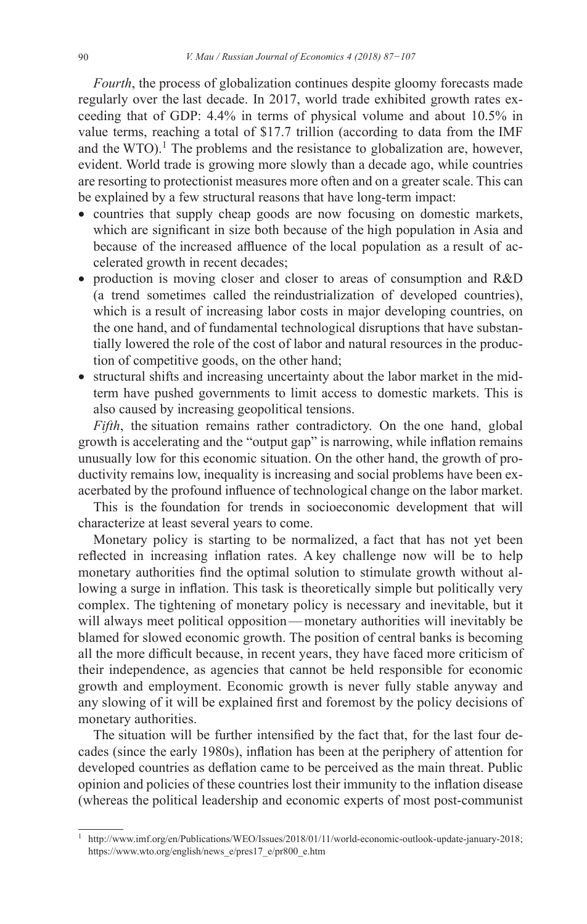*Fourth*, the process of globalization continues despite gloomy forecasts made regularly over the last decade. In 2017, world trade exhibited growth rates exceeding that of GDP: 4.4% in terms of physical volume and about 10.5% in value terms, reaching a total of \$17.7 trillion (according to data from the IMF and the WTO).<sup>1</sup> The problems and the resistance to globalization are, however, evident. World trade is growing more slowly than a decade ago, while countries are resorting to protectionist measures more often and on a greater scale. This can be explained by a few structural reasons that have long-term impact:

- countries that supply cheap goods are now focusing on domestic markets, which are significant in size both because of the high population in Asia and because of the increased affluence of the local population as a result of accelerated growth in recent decades;
- production is moving closer and closer to areas of consumption and R&D (a trend sometimes called the reindustrialization of developed countries), which is a result of increasing labor costs in major developing countries, on the one hand, and of fundamental technological disruptions that have substantially lowered the role of the cost of labor and natural resources in the production of competitive goods, on the other hand;
- structural shifts and increasing uncertainty about the labor market in the midterm have pushed governments to limit access to domestic markets. This is also caused by increasing geopolitical tensions.

*Fifth*, the situation remains rather contradictory. On the one hand, global growth is accelerating and the "output gap" is narrowing, while inflation remains unusually low for this economic situation. On the other hand, the growth of productivity remains low, inequality is increasing and social problems have been exacerbated by the profound influence of technological change on the labor market.

This is the foundation for trends in socioeconomic development that will characterize at least several years to come.

Monetary policy is starting to be normalized, a fact that has not yet been reflected in increasing inflation rates. A key challenge now will be to help monetary authorities find the optimal solution to stimulate growth without allowing a surge in inflation. This task is theoretically simple but politically very complex. The tightening of monetary policy is necessary and inevitable, but it will always meet political opposition—monetary authorities will inevitably be blamed for slowed economic growth. The position of central banks is becoming all the more difficult because, in recent years, they have faced more criticism of their independence, as agencies that cannot be held responsible for economic growth and employment. Economic growth is never fully stable anyway and any slowing of it will be explained first and foremost by the policy decisions of monetary authorities.

The situation will be further intensified by the fact that, for the last four decades (since the early 1980s), inflation has been at the periphery of attention for developed countries as deflation came to be perceived as the main threat. Public opinion and policies of these countries lost their immunity to the inflation disease (whereas the political leadership and economic experts of most post-communist

<sup>1</sup> <http://www.imf.org/en/Publications/WEO/Issues/2018/01/11/world-economic-outlook-update-january-2018>; [https://www.wto.org/english/news\\_e/pres17\\_e/pr800\\_e.htm](https://www.wto.org/english/news_e/pres17_e/pr800_e.htm)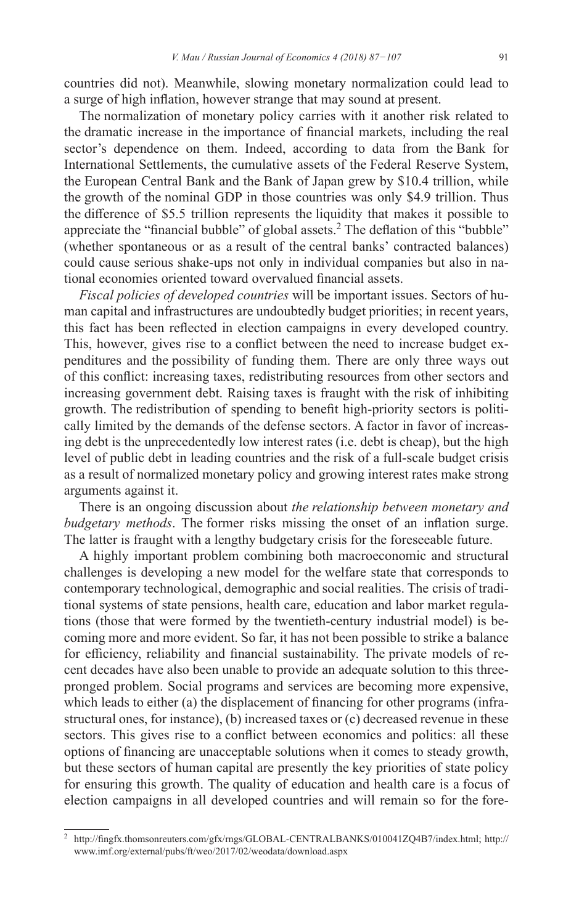countries did not). Meanwhile, slowing monetary normalization could lead to a surge of high inflation, however strange that may sound at present.

The normalization of monetary policy carries with it another risk related to the dramatic increase in the importance of financial markets, including the real sector's dependence on them. Indeed, according to data from the Bank for International Settlements, the cumulative assets of the Federal Reserve System, the European Central Bank and the Bank of Japan grew by \$10.4 trillion, while the growth of the nominal GDP in those countries was only \$4.9 trillion. Thus the difference of \$5.5 trillion represents the liquidity that makes it possible to appreciate the "financial bubble" of global assets.<sup>2</sup> The deflation of this "bubble" (whether spontaneous or as a result of the central banks' contracted balances) could cause serious shake-ups not only in individual companies but also in national economies oriented toward overvalued financial assets.

*Fiscal policies of developed countries* will be important issues. Sectors of human capital and infrastructures are undoubtedly budget priorities; in recent years, this fact has been reflected in election campaigns in every developed country. This, however, gives rise to a conflict between the need to increase budget expenditures and the possibility of funding them. There are only three ways out of this conflict: increasing taxes, redistributing resources from other sectors and increasing government debt. Raising taxes is fraught with the risk of inhibiting growth. The redistribution of spending to benefit high-priority sectors is politically limited by the demands of the defense sectors. A factor in favor of increasing debt is the unprecedentedly low interest rates (i.e. debt is cheap), but the high level of public debt in leading countries and the risk of a full-scale budget crisis as a result of normalized monetary policy and growing interest rates make strong arguments against it.

There is an ongoing discussion about *the relationship between monetary and budgetary methods*. The former risks missing the onset of an inflation surge. The latter is fraught with a lengthy budgetary crisis for the foreseeable future.

A highly important problem combining both macroeconomic and structural challenges is developing a new model for the welfare state that corresponds to contemporary technological, demographic and social realities. The crisis of traditional systems of state pensions, health care, education and labor market regulations (those that were formed by the twentieth-century industrial model) is becoming more and more evident. So far, it has not been possible to strike a balance for efficiency, reliability and financial sustainability. The private models of recent decades have also been unable to provide an adequate solution to this threepronged problem. Social programs and services are becoming more expensive, which leads to either (a) the displacement of financing for other programs (infrastructural ones, for instance), (b) increased taxes or (c) decreased revenue in these sectors. This gives rise to a conflict between economics and politics: all these options of financing are unacceptable solutions when it comes to steady growth, but these sectors of human capital are presently the key priorities of state policy for ensuring this growth. The quality of education and health care is a focus of election campaigns in all developed countries and will remain so for the fore-

<sup>2</sup> <http://fingfx.thomsonreuters.com/gfx/rngs/GLOBAL-CENTRALBANKS/010041ZQ4B7/index.html>; [http://](http://www.imf.org/external/pubs/ft/weo/2017/02/weodata/download.aspx) [www.imf.org/external/pubs/ft/weo/2017/02/weodata/download.aspx](http://www.imf.org/external/pubs/ft/weo/2017/02/weodata/download.aspx)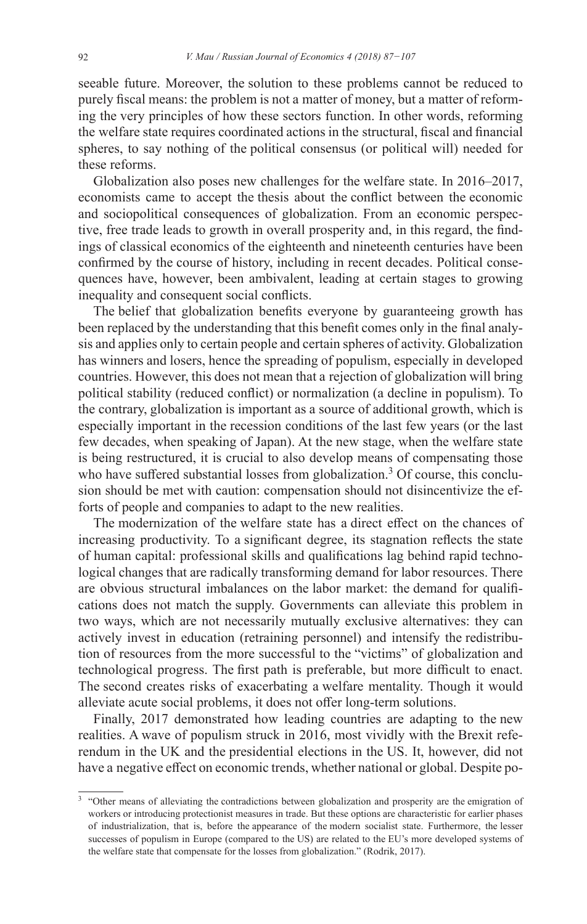seeable future. Moreover, the solution to these problems cannot be reduced to purely fiscal means: the problem is not a matter of money, but a matter of reforming the very principles of how these sectors function. In other words, reforming the welfare state requires coordinated actions in the structural, fiscal and financial spheres, to say nothing of the political consensus (or political will) needed for these reforms.

Globalization also poses new challenges for the welfare state. In 2016–2017, economists came to accept the thesis about the conflict between the economic and sociopolitical consequences of globalization. From an economic perspective, free trade leads to growth in overall prosperity and, in this regard, the findings of classical economics of the eighteenth and nineteenth centuries have been confirmed by the course of history, including in recent decades. Political consequences have, however, been ambivalent, leading at certain stages to growing inequality and consequent social conflicts.

The belief that globalization benefits everyone by guaranteeing growth has been replaced by the understanding that this benefit comes only in the final analysis and applies only to certain people and certain spheres of activity. Globalization has winners and losers, hence the spreading of populism, especially in developed countries. However, this does not mean that a rejection of globalization will bring political stability (reduced conflict) or normalization (a decline in populism). To the contrary, globalization is important as a source of additional growth, which is especially important in the recession conditions of the last few years (or the last few decades, when speaking of Japan). At the new stage, when the welfare state is being restructured, it is crucial to also develop means of compensating those who have suffered substantial losses from globalization.<sup>3</sup> Of course, this conclusion should be met with caution: compensation should not disincentivize the efforts of people and companies to adapt to the new realities.

The modernization of the welfare state has a direct effect on the chances of increasing productivity. To a significant degree, its stagnation reflects the state of human capital: professional skills and qualifications lag behind rapid technological changes that are radically transforming demand for labor resources. There are obvious structural imbalances on the labor market: the demand for qualifications does not match the supply. Governments can alleviate this problem in two ways, which are not necessarily mutually exclusive alternatives: they can actively invest in education (retraining personnel) and intensify the redistribution of resources from the more successful to the "victims" of globalization and technological progress. The first path is preferable, but more difficult to enact. The second creates risks of exacerbating a welfare mentality. Though it would alleviate acute social problems, it does not offer long-term solutions.

Finally, 2017 demonstrated how leading countries are adapting to the new realities. A wave of populism struck in 2016, most vividly with the Brexit referendum in the UK and the presidential elections in the US. It, however, did not have a negative effect on economic trends, whether national or global. Despite po-

<sup>&</sup>lt;sup>3</sup> "Other means of alleviating the contradictions between globalization and prosperity are the emigration of workers or introducing protectionist measures in trade. But these options are characteristic for earlier phases of industrialization, that is, before the appearance of the modern socialist state. Furthermore, the lesser successes of populism in Europe (compared to the US) are related to the EU's more developed systems of the welfare state that compensate for the losses from globalization." (Rodrik, 2017).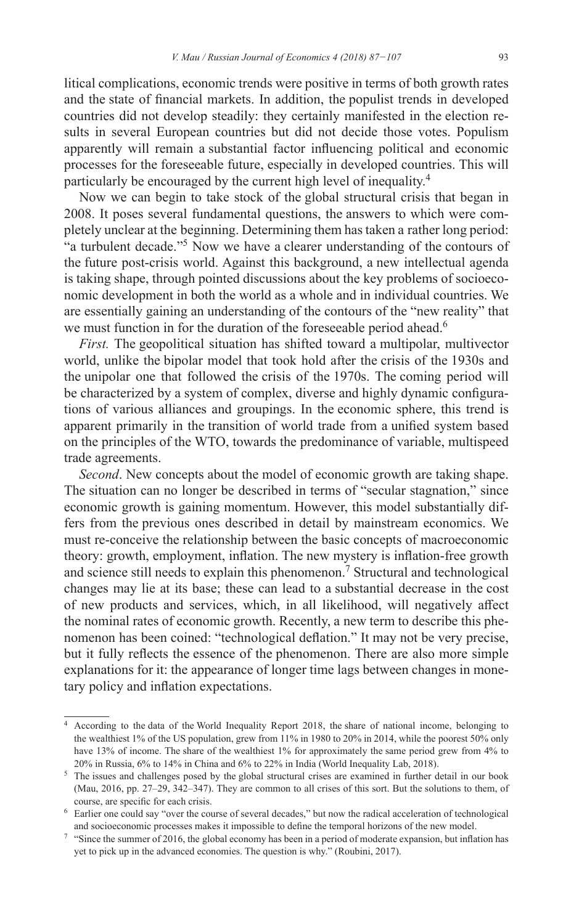litical complications, economic trends were positive in terms of both growth rates and the state of financial markets. In addition, the populist trends in developed countries did not develop steadily: they certainly manifested in the election results in several European countries but did not decide those votes. Populism apparently will remain a substantial factor influencing political and economic processes for the foreseeable future, especially in developed countries. This will particularly be encouraged by the current high level of inequality.<sup>4</sup>

Now we can begin to take stock of the global structural crisis that began in 2008. It poses several fundamental questions, the answers to which were completely unclear at the beginning. Determining them has taken a rather long period: "a turbulent decade."<sup>5</sup> Now we have a clearer understanding of the contours of the future post-crisis world. Against this background, a new intellectual agenda is taking shape, through pointed discussions about the key problems of socioeconomic development in both the world as a whole and in individual countries. We are essentially gaining an understanding of the contours of the "new reality" that we must function in for the duration of the foreseeable period ahead.<sup>6</sup>

*First.* The geopolitical situation has shifted toward a multipolar, multivector world, unlike the bipolar model that took hold after the crisis of the 1930s and the unipolar one that followed the crisis of the 1970s. The coming period will be characterized by a system of complex, diverse and highly dynamic configurations of various alliances and groupings. In the economic sphere, this trend is apparent primarily in the transition of world trade from a unified system based on the principles of the WTO, towards the predominance of variable, multispeed trade agreements.

*Second*. New concepts about the model of economic growth are taking shape. The situation can no longer be described in terms of "secular stagnation," since economic growth is gaining momentum. However, this model substantially differs from the previous ones described in detail by mainstream economics. We must re-conceive the relationship between the basic concepts of macroeconomic theory: growth, employment, inflation. The new mystery is inflation-free growth and science still needs to explain this phenomenon.<sup>7</sup> Structural and technological changes may lie at its base; these can lead to a substantial decrease in the cost of new products and services, which, in all likelihood, will negatively affect the nominal rates of economic growth. Recently, a new term to describe this phenomenon has been coined: "technological deflation." It may not be very precise, but it fully reflects the essence of the phenomenon. There are also more simple explanations for it: the appearance of longer time lags between changes in monetary policy and inflation expectations.

<sup>4</sup> According to the data of the World Inequality Report 2018, the share of national income, belonging to the wealthiest 1% of the US population, grew from 11% in 1980 to 20% in 2014, while the poorest 50% only have 13% of income. The share of the wealthiest 1% for approximately the same period grew from 4% to 20% in Russia, 6% to 14% in China and 6% to 22% in India (World Inequality Lab, 2018).

<sup>&</sup>lt;sup>5</sup> The issues and challenges posed by the global structural crises are examined in further detail in our book (Mau, 2016, pp. 27–29, 342–347). They are common to all crises of this sort. But the solutions to them, of course, are specific for each crisis.

<sup>6</sup> Earlier one could say "over the course of several decades," but now the radical acceleration of technological and socioeconomic processes makes it impossible to define the temporal horizons of the new model.

<sup>&</sup>lt;sup>7</sup> "Since the summer of 2016, the global economy has been in a period of moderate expansion, but inflation has yet to pick up in the advanced economies. The question is why." (Roubini, 2017).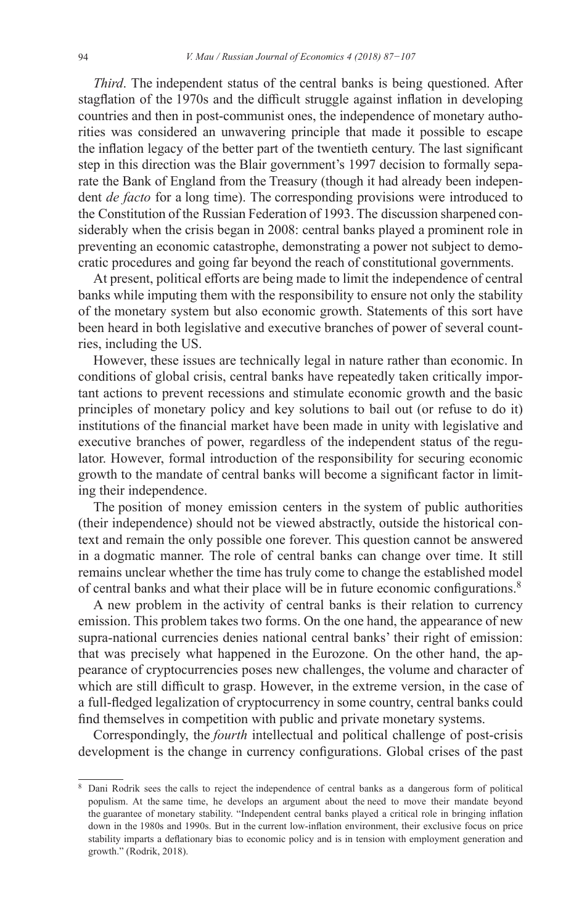*Third*. The independent status of the central banks is being questioned. After stagflation of the 1970s and the difficult struggle against inflation in developing countries and then in post-communist ones, the independence of monetary authorities was considered an unwavering principle that made it possible to escape the inflation legacy of the better part of the twentieth century. The last significant step in this direction was the Blair government's 1997 decision to formally separate the Bank of England from the Treasury (though it had already been independent *de facto* for a long time). The corresponding provisions were introduced to the Constitution of the Russian Federation of 1993. The discussion sharpened considerably when the crisis began in 2008: central banks played a prominent role in preventing an economic catastrophe, demonstrating a power not subject to democratic procedures and going far beyond the reach of constitutional governments.

At present, political efforts are being made to limit the independence of central banks while imputing them with the responsibility to ensure not only the stability of the monetary system but also economic growth. Statements of this sort have been heard in both legislative and executive branches of power of several countries, including the US.

However, these issues are technically legal in nature rather than economic. In conditions of global crisis, central banks have repeatedly taken critically important actions to prevent recessions and stimulate economic growth and the basic principles of monetary policy and key solutions to bail out (or refuse to do it) institutions of the financial market have been made in unity with legislative and executive branches of power, regardless of the independent status of the regulator. However, formal introduction of the responsibility for securing economic growth to the mandate of central banks will become a significant factor in limiting their independence.

The position of money emission centers in the system of public authorities (their independence) should not be viewed abstractly, outside the historical context and remain the only possible one forever. This question cannot be answered in a dogmatic manner. The role of central banks can change over time. It still remains unclear whether the time has truly come to change the established model of central banks and what their place will be in future economic configurations.<sup>8</sup>

A new problem in the activity of central banks is their relation to currency emission. This problem takes two forms. On the one hand, the appearance of new supra-national currencies denies national central banks' their right of emission: that was precisely what happened in the Eurozone. On the other hand, the appearance of cryptocurrencies poses new challenges, the volume and character of which are still difficult to grasp. However, in the extreme version, in the case of a full-fledged legalization of cryptocurrency in some country, central banks could find themselves in competition with public and private monetary systems.

Correspondingly, the *fourth* intellectual and political challenge of post-crisis development is the change in currency configurations. Global crises of the past

Dani Rodrik sees the calls to reject the independence of central banks as a dangerous form of political populism. At the same time, he develops an argument about the need to move their mandate beyond the guarantee of monetary stability. "Independent central banks played a critical role in bringing inflation down in the 1980s and 1990s. But in the current low-inflation environment, their exclusive focus on price stability imparts a deflationary bias to economic policy and is in tension with employment generation and growth." (Rodrik, 2018).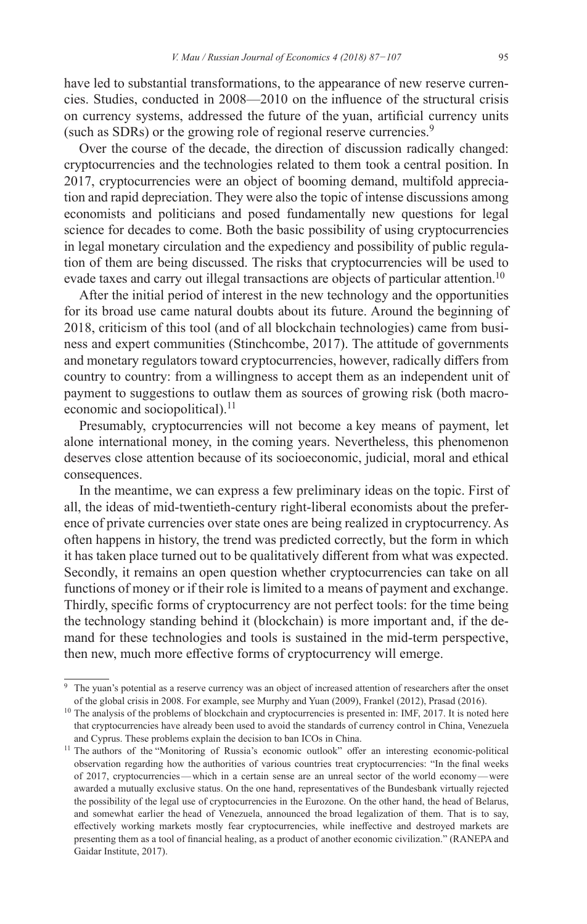have led to substantial transformations, to the appearance of new reserve currencies. Studies, conducted in 2008—2010 on the influence of the structural crisis on currency systems, addressed the future of the yuan, artificial currency units (such as SDRs) or the growing role of regional reserve currencies.<sup>9</sup>

Over the course of the decade, the direction of discussion radically changed: cryptocurrencies and the technologies related to them took a central position. In 2017, cryptocurrencies were an object of booming demand, multifold appreciation and rapid depreciation. They were also the topic of intense discussions among economists and politicians and posed fundamentally new questions for legal science for decades to come. Both the basic possibility of using cryptocurrencies in legal monetary circulation and the expediency and possibility of public regulation of them are being discussed. The risks that cryptocurrencies will be used to evade taxes and carry out illegal transactions are objects of particular attention.<sup>10</sup>

After the initial period of interest in the new technology and the opportunities for its broad use came natural doubts about its future. Around the beginning of 2018, criticism of this tool (and of all blockchain technologies) came from business and expert communities (Stinchcombe, 2017). The attitude of governments and monetary regulators toward cryptocurrencies, however, radically differs from country to country: from a willingness to accept them as an independent unit of payment to suggestions to outlaw them as sources of growing risk (both macroeconomic and sociopolitical). $^{11}$ 

Presumably, cryptocurrencies will not become a key means of payment, let alone international money, in the coming years. Nevertheless, this phenomenon deserves close attention because of its socioeconomic, judicial, moral and ethical consequences.

In the meantime, we can express a few preliminary ideas on the topic. First of all, the ideas of mid-twentieth-century right-liberal economists about the preference of private currencies over state ones are being realized in cryptocurrency. As often happens in history, the trend was predicted correctly, but the form in which it has taken place turned out to be qualitatively different from what was expected. Secondly, it remains an open question whether cryptocurrencies can take on all functions of money or if their role is limited to a means of payment and exchange. Thirdly, specific forms of cryptocurrency are not perfect tools: for the time being the technology standing behind it (blockchain) is more important and, if the demand for these technologies and tools is sustained in the mid-term perspective, then new, much more effective forms of cryptocurrency will emerge.

<sup>&</sup>lt;sup>9</sup> The yuan's potential as a reserve currency was an object of increased attention of researchers after the onset of the global crisis in 2008. For example, see Murphy and Yuan (2009), Frankel (2012), Prasad (2016).

<sup>&</sup>lt;sup>10</sup> The analysis of the problems of blockchain and cryptocurrencies is presented in: IMF, 2017. It is noted here that cryptocurrencies have already been used to avoid the standards of currency control in China, Venezuela and Cyprus. These problems explain the decision to ban ICOs in China.

<sup>&</sup>lt;sup>11</sup> The authors of the "Monitoring of Russia's economic outlook" offer an interesting economic-political observation regarding how the authorities of various countries treat cryptocurrencies: "In the final weeks of 2017, cryptocurrencies—which in a certain sense are an unreal sector of the world economy—were awarded a mutually exclusive status. On the one hand, representatives of the Bundesbank virtually rejected the possibility of the legal use of cryptocurrencies in the Eurozone. On the other hand, the head of Belarus, and somewhat earlier the head of Venezuela, announced the broad legalization of them. That is to say, effectively working markets mostly fear cryptocurrencies, while ineffective and destroyed markets are presenting them as a tool of financial healing, as a product of another economic civilization." (RANEPA and Gaidar Institute, 2017).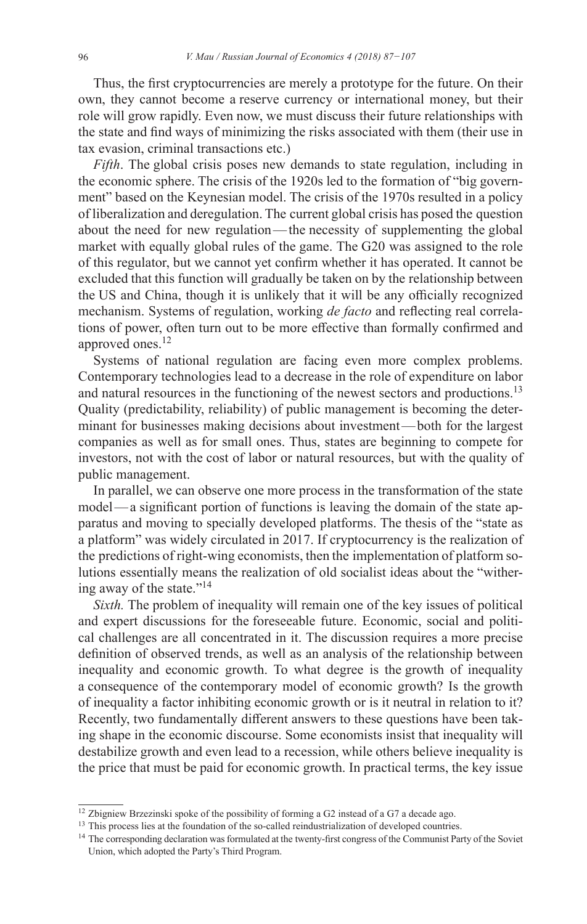Thus, the first cryptocurrencies are merely a prototype for the future. On their own, they cannot become a reserve currency or international money, but their role will grow rapidly. Even now, we must discuss their future relationships with the state and find ways of minimizing the risks associated with them (their use in tax evasion, criminal transactions etc.)

*Fifth*. The global crisis poses new demands to state regulation, including in the economic sphere. The crisis of the 1920s led to the formation of "big government" based on the Keynesian model. The crisis of the 1970s resulted in a policy of liberalization and deregulation. The current global crisis has posed the question about the need for new regulation—the necessity of supplementing the global market with equally global rules of the game. The G20 was assigned to the role of this regulator, but we cannot yet confirm whether it has operated. It cannot be excluded that this function will gradually be taken on by the relationship between the US and China, though it is unlikely that it will be any officially recognized mechanism. Systems of regulation, working *de facto* and reflecting real correlations of power, often turn out to be more effective than formally confirmed and approved ones.<sup>12</sup>

Systems of national regulation are facing even more complex problems. Contemporary technologies lead to a decrease in the role of expenditure on labor and natural resources in the functioning of the newest sectors and productions.<sup>13</sup> Quality (predictability, reliability) of public management is becoming the determinant for businesses making decisions about investment—both for the largest companies as well as for small ones. Thus, states are beginning to compete for investors, not with the cost of labor or natural resources, but with the quality of public management.

In parallel, we can observe one more process in the transformation of the state model—a significant portion of functions is leaving the domain of the state apparatus and moving to specially developed platforms. The thesis of the "state as a platform" was widely circulated in 2017. If cryptocurrency is the realization of the predictions of right-wing economists, then the implementation of platform solutions essentially means the realization of old socialist ideas about the "withering away of the state."<sup>14</sup>

*Sixth.* The problem of inequality will remain one of the key issues of political and expert discussions for the foreseeable future. Economic, social and political challenges are all concentrated in it. The discussion requires a more precise definition of observed trends, as well as an analysis of the relationship between inequality and economic growth. To what degree is the growth of inequality a consequence of the contemporary model of economic growth? Is the growth of inequality a factor inhibiting economic growth or is it neutral in relation to it? Recently, two fundamentally different answers to these questions have been taking shape in the economic discourse. Some economists insist that inequality will destabilize growth and even lead to a recession, while others believe inequality is the price that must be paid for economic growth. In practical terms, the key issue

<sup>&</sup>lt;sup>12</sup> Zbigniew Brzezinski spoke of the possibility of forming a G2 instead of a G7 a decade ago.

<sup>&</sup>lt;sup>13</sup> This process lies at the foundation of the so-called reindustrialization of developed countries.

<sup>&</sup>lt;sup>14</sup> The corresponding declaration was formulated at the twenty-first congress of the Communist Party of the Soviet Union, which adopted the Party's Third Program.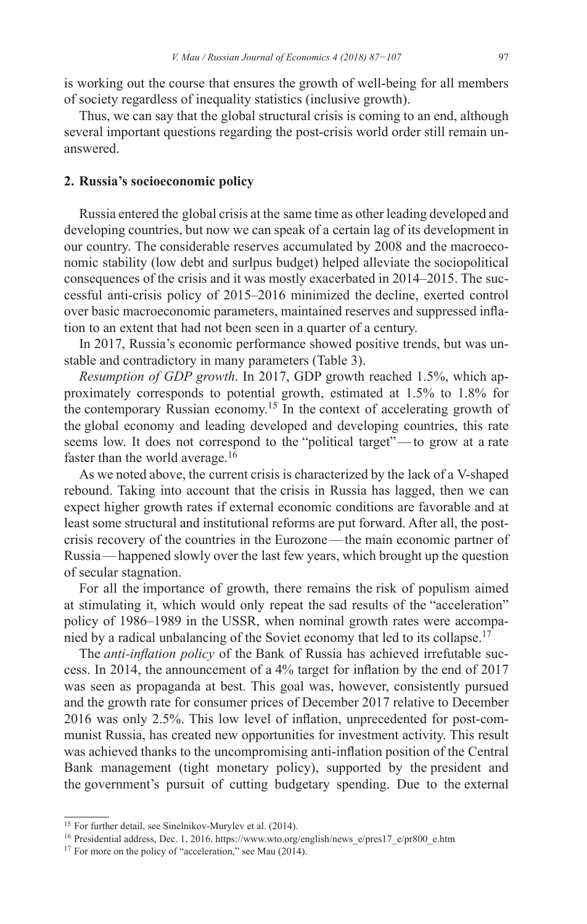is working out the course that ensures the growth of well-being for all members of society regardless of inequality statistics (inclusive growth).

Thus, we can say that the global structural crisis is coming to an end, although several important questions regarding the post-crisis world order still remain unanswered.

## **2. Russia's socioeconomic policy**

Russia entered the global crisis at the same time as other leading developed and developing countries, but now we can speak of a certain lag of its development in our country. The considerable reserves accumulated by 2008 and the macroeconomic stability (low debt and surlpus budget) helped alleviate the sociopolitical consequences of the crisis and it was mostly exacerbated in 2014–2015. The successful anti-crisis policy of 2015–2016 minimized the decline, exerted control over basic macroeconomic parameters, maintained reserves and suppressed inflation to an extent that had not been seen in a quarter of a century.

In 2017, Russia's economic performance showed positive trends, but was unstable and contradictory in many parameters (Table 3).

*Resumption of GDP growth*. In 2017, GDP growth reached 1.5%, which approximately corresponds to potential growth, estimated at 1.5% to 1.8% for the contemporary Russian economy.<sup>15</sup> In the context of accelerating growth of the global economy and leading developed and developing countries, this rate seems low. It does not correspond to the "political target"—to grow at a rate faster than the world average.<sup>16</sup>

As we noted above, the current crisis is characterized by the lack of a V-shaped rebound. Taking into account that the crisis in Russia has lagged, then we can expect higher growth rates if external economic conditions are favorable and at least some structural and institutional reforms are put forward. After all, the postcrisis recovery of the countries in the Eurozone—the main economic partner of Russia—happened slowly over the last few years, which brought up the question of secular stagnation.

For all the importance of growth, there remains the risk of populism aimed at stimulating it, which would only repeat the sad results of the "acceleration" policy of 1986–1989 in the USSR, when nominal growth rates were accompanied by a radical unbalancing of the Soviet economy that led to its collapse.<sup>17</sup>

The *anti-inflation policy* of the Bank of Russia has achieved irrefutable success. In 2014, the announcement of a 4% target for inflation by the end of 2017 was seen as propaganda at best. This goal was, however, consistently pursued and the growth rate for consumer prices of December 2017 relative to December 2016 was only 2.5%. This low level of inflation, unprecedented for post-communist Russia, has created new opportunities for investment activity. This result was achieved thanks to the uncompromising anti-inflation position of the Central Bank management (tight monetary policy), supported by the president and the government's pursuit of cutting budgetary spending. Due to the external

<sup>&</sup>lt;sup>15</sup> For further detail, see Sinelnikov-Murylev et al. (2014).

<sup>16</sup> Presidential address, Dec. 1, 2016. [https://www.wto.org/english/news\\_e/pres17\\_e/pr800\\_e.htm](https://www.wto.org/english/news_e/pres17_e/pr800_e.htm)

<sup>&</sup>lt;sup>17</sup> For more on the policy of "acceleration," see Mau (2014).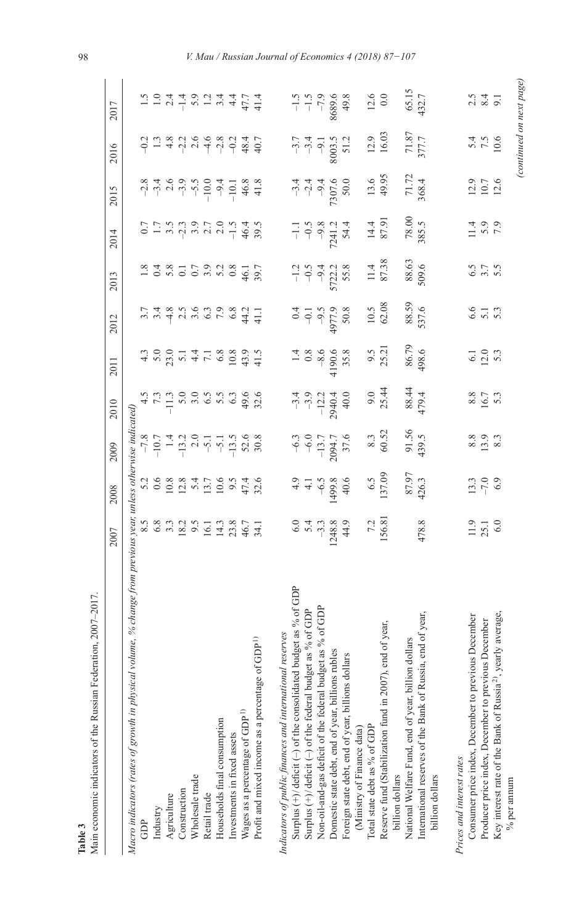| Main economic indicators of the Russian Federation, 2007-2017.                                                                        | 2007                                             | 2008                                                               | 2009                                                                                                                                       | 2010                                                                                                                                                                                                                                                                             | 2011                                   | 2012                                                     | 2013                                               | 2014                                                                                                                                                                                                                                                                                                                  | 2015                                                                                                                                                                                                                                                                                                                                                                                                                                                                                                                                                                                             | 2016                                           | 2017                                                                                                                                                                                                                                                                                                                                                       |
|---------------------------------------------------------------------------------------------------------------------------------------|--------------------------------------------------|--------------------------------------------------------------------|--------------------------------------------------------------------------------------------------------------------------------------------|----------------------------------------------------------------------------------------------------------------------------------------------------------------------------------------------------------------------------------------------------------------------------------|----------------------------------------|----------------------------------------------------------|----------------------------------------------------|-----------------------------------------------------------------------------------------------------------------------------------------------------------------------------------------------------------------------------------------------------------------------------------------------------------------------|--------------------------------------------------------------------------------------------------------------------------------------------------------------------------------------------------------------------------------------------------------------------------------------------------------------------------------------------------------------------------------------------------------------------------------------------------------------------------------------------------------------------------------------------------------------------------------------------------|------------------------------------------------|------------------------------------------------------------------------------------------------------------------------------------------------------------------------------------------------------------------------------------------------------------------------------------------------------------------------------------------------------------|
| % change from previous year, unless otherwise indicated)<br>Macro indicators (rates of growth in physical volume,                     |                                                  |                                                                    |                                                                                                                                            |                                                                                                                                                                                                                                                                                  |                                        |                                                          |                                                    |                                                                                                                                                                                                                                                                                                                       |                                                                                                                                                                                                                                                                                                                                                                                                                                                                                                                                                                                                  |                                                |                                                                                                                                                                                                                                                                                                                                                            |
| GDP                                                                                                                                   |                                                  |                                                                    |                                                                                                                                            |                                                                                                                                                                                                                                                                                  |                                        |                                                          |                                                    |                                                                                                                                                                                                                                                                                                                       |                                                                                                                                                                                                                                                                                                                                                                                                                                                                                                                                                                                                  |                                                |                                                                                                                                                                                                                                                                                                                                                            |
| Industry                                                                                                                              |                                                  |                                                                    |                                                                                                                                            |                                                                                                                                                                                                                                                                                  |                                        |                                                          |                                                    |                                                                                                                                                                                                                                                                                                                       |                                                                                                                                                                                                                                                                                                                                                                                                                                                                                                                                                                                                  |                                                |                                                                                                                                                                                                                                                                                                                                                            |
| Agriculture                                                                                                                           |                                                  |                                                                    |                                                                                                                                            |                                                                                                                                                                                                                                                                                  |                                        |                                                          |                                                    |                                                                                                                                                                                                                                                                                                                       |                                                                                                                                                                                                                                                                                                                                                                                                                                                                                                                                                                                                  |                                                |                                                                                                                                                                                                                                                                                                                                                            |
| Construction                                                                                                                          |                                                  |                                                                    |                                                                                                                                            |                                                                                                                                                                                                                                                                                  |                                        |                                                          |                                                    |                                                                                                                                                                                                                                                                                                                       |                                                                                                                                                                                                                                                                                                                                                                                                                                                                                                                                                                                                  |                                                |                                                                                                                                                                                                                                                                                                                                                            |
| Wholesale trade                                                                                                                       |                                                  |                                                                    |                                                                                                                                            |                                                                                                                                                                                                                                                                                  |                                        |                                                          |                                                    |                                                                                                                                                                                                                                                                                                                       |                                                                                                                                                                                                                                                                                                                                                                                                                                                                                                                                                                                                  |                                                |                                                                                                                                                                                                                                                                                                                                                            |
| Retail trade                                                                                                                          |                                                  |                                                                    |                                                                                                                                            |                                                                                                                                                                                                                                                                                  |                                        |                                                          |                                                    |                                                                                                                                                                                                                                                                                                                       |                                                                                                                                                                                                                                                                                                                                                                                                                                                                                                                                                                                                  |                                                |                                                                                                                                                                                                                                                                                                                                                            |
| Households final consumption                                                                                                          |                                                  | $3.8884776$<br>$6.9884776$<br>$6.984776$<br>$6.98476$<br>$6.98476$ | $-7,8$<br>$-10,7$<br>$-12,0$<br>$-14,0$<br>$-15,0$<br>$-15,0$<br>$-15,0$<br>$-15,0$<br>$-15,0$<br>$-15,0$<br>$-15,0$<br>$-15,0$<br>$-15,0$ | $\ddot{a}$ $\ddot{b}$ $\ddot{c}$ $\ddot{c}$ $\ddot{c}$ $\ddot{c}$ $\ddot{c}$ $\ddot{c}$ $\ddot{c}$ $\ddot{c}$ $\ddot{c}$ $\ddot{c}$ $\ddot{c}$ $\ddot{c}$ $\ddot{c}$ $\ddot{c}$ $\ddot{c}$ $\ddot{c}$ $\ddot{c}$ $\ddot{c}$ $\ddot{c}$ $\ddot{c}$ $\ddot{c}$ $\ddot{c}$ $\ddot{$ |                                        |                                                          | 224811292342511230112                              | $0.75$ $\frac{1}{2}$ $\frac{1}{2}$ $\frac{1}{2}$ $\frac{1}{2}$ $\frac{1}{2}$ $\frac{1}{2}$ $\frac{1}{2}$ $\frac{1}{2}$ $\frac{1}{2}$ $\frac{1}{2}$ $\frac{1}{2}$ $\frac{1}{2}$ $\frac{1}{2}$ $\frac{1}{2}$ $\frac{1}{2}$ $\frac{1}{2}$ $\frac{1}{2}$ $\frac{1}{2}$ $\frac{1}{2}$ $\frac{1}{2}$ $\frac{1}{2}$ $\frac{$ | $\begin{array}{cccccccccc} \infty & \stackrel{\times}{\sim} & \stackrel{\times}{\sim} & \stackrel{\times}{\sim} & \stackrel{\times}{\sim} & \stackrel{\times}{\sim} & \stackrel{\times}{\sim} & \stackrel{\times}{\sim} & \stackrel{\times}{\sim} & \stackrel{\times}{\sim} & \stackrel{\times}{\sim} & \stackrel{\times}{\sim} & \stackrel{\times}{\sim} & \stackrel{\times}{\sim} & \stackrel{\times}{\sim} & \stackrel{\times}{\sim} & \stackrel{\times}{\sim} & \stackrel{\times}{\sim} & \stackrel{\times}{\sim} & \stackrel{\times}{\sim} & \stackrel{\times}{\sim} & \stackrel{\times}{\$ |                                                | $\begin{array}{c}\n 1 & 0 & 1 \\  1 & 0 & 1 \\  0 & 1 & 0 \\  0 & 0 & 0 \\  0 & 0 & 0 \\  0 & 0 & 0 \\  0 & 0 & 0 \\  0 & 0 & 0 \\  0 & 0 & 0 \\  0 & 0 & 0 \\  0 & 0 & 0 \\  0 & 0 & 0 \\  0 & 0 & 0 \\  0 & 0 & 0 \\  0 & 0 & 0 \\  0 & 0 & 0 \\  0 & 0 & 0 \\  0 & 0 & 0 \\  0 & 0 & 0 \\  0 & 0 & 0 \\  0 & 0 & 0 \\  0 & 0 & 0 & 0 \\  0 & 0 & 0 & 0$ |
| Investments in fixed assets                                                                                                           |                                                  |                                                                    |                                                                                                                                            |                                                                                                                                                                                                                                                                                  |                                        |                                                          |                                                    |                                                                                                                                                                                                                                                                                                                       |                                                                                                                                                                                                                                                                                                                                                                                                                                                                                                                                                                                                  |                                                |                                                                                                                                                                                                                                                                                                                                                            |
| Wages as a percentage of GDP <sup>1)</sup>                                                                                            |                                                  |                                                                    |                                                                                                                                            |                                                                                                                                                                                                                                                                                  |                                        |                                                          |                                                    |                                                                                                                                                                                                                                                                                                                       |                                                                                                                                                                                                                                                                                                                                                                                                                                                                                                                                                                                                  |                                                |                                                                                                                                                                                                                                                                                                                                                            |
| Profit and mixed income as a percentage of GDP <sup>1)</sup>                                                                          |                                                  |                                                                    |                                                                                                                                            |                                                                                                                                                                                                                                                                                  |                                        |                                                          |                                                    |                                                                                                                                                                                                                                                                                                                       |                                                                                                                                                                                                                                                                                                                                                                                                                                                                                                                                                                                                  |                                                |                                                                                                                                                                                                                                                                                                                                                            |
| Indicators of public finances and international reserves                                                                              |                                                  |                                                                    |                                                                                                                                            |                                                                                                                                                                                                                                                                                  |                                        |                                                          |                                                    |                                                                                                                                                                                                                                                                                                                       |                                                                                                                                                                                                                                                                                                                                                                                                                                                                                                                                                                                                  |                                                |                                                                                                                                                                                                                                                                                                                                                            |
|                                                                                                                                       |                                                  |                                                                    |                                                                                                                                            |                                                                                                                                                                                                                                                                                  |                                        |                                                          |                                                    |                                                                                                                                                                                                                                                                                                                       |                                                                                                                                                                                                                                                                                                                                                                                                                                                                                                                                                                                                  |                                                |                                                                                                                                                                                                                                                                                                                                                            |
| Surplus $(+)$ /deficit $(-)$ of the consolidated budget as % of GDP<br>Surplus $(+)$ /deficit $(-)$ of the federal budget as % of GDP |                                                  |                                                                    |                                                                                                                                            |                                                                                                                                                                                                                                                                                  |                                        |                                                          |                                                    |                                                                                                                                                                                                                                                                                                                       |                                                                                                                                                                                                                                                                                                                                                                                                                                                                                                                                                                                                  |                                                |                                                                                                                                                                                                                                                                                                                                                            |
| Non-oil-and-gas deficit of the federal budget as % of GDP                                                                             |                                                  |                                                                    |                                                                                                                                            |                                                                                                                                                                                                                                                                                  |                                        |                                                          |                                                    |                                                                                                                                                                                                                                                                                                                       |                                                                                                                                                                                                                                                                                                                                                                                                                                                                                                                                                                                                  |                                                |                                                                                                                                                                                                                                                                                                                                                            |
| Domestic state debt, end of year, billions rubles                                                                                     | $0.49$<br>$-3.38$<br>$-3.44$<br>$-1243$<br>$-44$ | $4.9$<br>$4.1$<br>$4.5$<br>$1499.8$<br>$149.6$<br>$40.6$           | $-6.3$<br>$-6.0$<br>$-13.7$<br>$-13.7$<br>$-7.6$<br>$-37.6$                                                                                | $-3.4$<br>$-3.9$<br>$-12.2$<br>$-3.9$<br>40.0                                                                                                                                                                                                                                    |                                        |                                                          |                                                    | $-1.1$<br>$-0.5$<br>$-9.8$<br>$-2.4$<br>$-1.2$<br>$-1.1$                                                                                                                                                                                                                                                              | $-3.4$<br>$-2.4$<br>$-9.4$<br>7307.6                                                                                                                                                                                                                                                                                                                                                                                                                                                                                                                                                             |                                                |                                                                                                                                                                                                                                                                                                                                                            |
| Foreign state debt, end of year, billions dollars                                                                                     |                                                  |                                                                    |                                                                                                                                            |                                                                                                                                                                                                                                                                                  | $1.4$<br>0.8<br>-8.6<br>4190.6<br>35.8 | $6.808$<br>$6.779$<br>$6.79$<br>$6.79$<br>$6.9$<br>$6.9$ | $-1.2$<br>$-9.5$<br>$-9.2$<br>$-5722.3$<br>$-5.58$ |                                                                                                                                                                                                                                                                                                                       |                                                                                                                                                                                                                                                                                                                                                                                                                                                                                                                                                                                                  | $-3.7$<br>$-3.4$<br>$-9.1$<br>$-3.2$<br>$-5.2$ | $-1.5$<br>$-7.9$<br>$-7.9$<br>$-6.6$<br>$-7.9$<br>$-1.5$                                                                                                                                                                                                                                                                                                   |
| (Ministry of Finance data)                                                                                                            |                                                  |                                                                    |                                                                                                                                            |                                                                                                                                                                                                                                                                                  |                                        |                                                          |                                                    |                                                                                                                                                                                                                                                                                                                       |                                                                                                                                                                                                                                                                                                                                                                                                                                                                                                                                                                                                  |                                                |                                                                                                                                                                                                                                                                                                                                                            |
| Total state debt as % of GDP                                                                                                          |                                                  |                                                                    |                                                                                                                                            |                                                                                                                                                                                                                                                                                  |                                        |                                                          |                                                    |                                                                                                                                                                                                                                                                                                                       |                                                                                                                                                                                                                                                                                                                                                                                                                                                                                                                                                                                                  |                                                |                                                                                                                                                                                                                                                                                                                                                            |
| Reserve fund (Stabilization fund in 2007), end of year,<br>billion dollars                                                            | 7.2<br>156.81                                    | $6.5$<br>137.09                                                    | $\begin{array}{c} 8.3 \\ 60.52 \end{array}$                                                                                                | $9.0$<br>25.44                                                                                                                                                                                                                                                                   | $9.5$<br>$25.21$                       | $\frac{10.5}{62.08}$                                     | $\frac{11.4}{87.38}$                               | $14.4$<br>87.91                                                                                                                                                                                                                                                                                                       | $13.6$<br>49.95                                                                                                                                                                                                                                                                                                                                                                                                                                                                                                                                                                                  | $\frac{12.9}{16.03}$                           | $\frac{12.6}{0.0}$                                                                                                                                                                                                                                                                                                                                         |
| National Welfare Fund, end of year, billion dollars                                                                                   |                                                  |                                                                    |                                                                                                                                            |                                                                                                                                                                                                                                                                                  |                                        |                                                          |                                                    |                                                                                                                                                                                                                                                                                                                       |                                                                                                                                                                                                                                                                                                                                                                                                                                                                                                                                                                                                  |                                                |                                                                                                                                                                                                                                                                                                                                                            |
| year,<br>International reserves of the Bank of Russia, end of<br>billion dollars                                                      | 478.8                                            | 87.97<br>426.3                                                     | 91.56<br>439.5                                                                                                                             | 88.44<br>479.4                                                                                                                                                                                                                                                                   | 86.79<br>498.6                         | 88.59<br>537.6                                           | 88.63<br>509.6                                     | $78.00$<br>385.5                                                                                                                                                                                                                                                                                                      | 71.72<br>368.4                                                                                                                                                                                                                                                                                                                                                                                                                                                                                                                                                                                   | $\frac{71.87}{377.7}$                          | 65.15<br>432.7                                                                                                                                                                                                                                                                                                                                             |
| Prices and interest rates                                                                                                             |                                                  |                                                                    |                                                                                                                                            |                                                                                                                                                                                                                                                                                  |                                        |                                                          |                                                    |                                                                                                                                                                                                                                                                                                                       |                                                                                                                                                                                                                                                                                                                                                                                                                                                                                                                                                                                                  |                                                |                                                                                                                                                                                                                                                                                                                                                            |
| Consumer price index, December to previous December                                                                                   |                                                  |                                                                    |                                                                                                                                            |                                                                                                                                                                                                                                                                                  |                                        |                                                          |                                                    |                                                                                                                                                                                                                                                                                                                       |                                                                                                                                                                                                                                                                                                                                                                                                                                                                                                                                                                                                  |                                                |                                                                                                                                                                                                                                                                                                                                                            |
| Producer price index, December to previous December                                                                                   | $\frac{11.9}{25.1}$                              | $\frac{13.3}{-7.0}$                                                | 8.9<br>19.83<br>19.93                                                                                                                      | 8.5<br>16.7<br>5.3                                                                                                                                                                                                                                                               | $6.1$<br>$12.0$<br>$5.3$               | 6.573                                                    | 5.75<br>6.75<br>6.75                               | $1.4$<br>5.9<br>7.9                                                                                                                                                                                                                                                                                                   | $12.9$<br>$10.7$<br>$12.6$                                                                                                                                                                                                                                                                                                                                                                                                                                                                                                                                                                       | $5.4$<br>7.5<br>10.6                           | $2.3 \times 1$                                                                                                                                                                                                                                                                                                                                             |
| Key interest rate of the Bank of Russia <sup>2)</sup> , yearly average,                                                               |                                                  |                                                                    |                                                                                                                                            |                                                                                                                                                                                                                                                                                  |                                        |                                                          |                                                    |                                                                                                                                                                                                                                                                                                                       |                                                                                                                                                                                                                                                                                                                                                                                                                                                                                                                                                                                                  |                                                |                                                                                                                                                                                                                                                                                                                                                            |
| % per annum                                                                                                                           |                                                  |                                                                    |                                                                                                                                            |                                                                                                                                                                                                                                                                                  |                                        |                                                          |                                                    |                                                                                                                                                                                                                                                                                                                       |                                                                                                                                                                                                                                                                                                                                                                                                                                                                                                                                                                                                  |                                                | (continued on next page)                                                                                                                                                                                                                                                                                                                                   |

98 *V. Mau / Russian Journal of Economics 4 (2018) 87−107*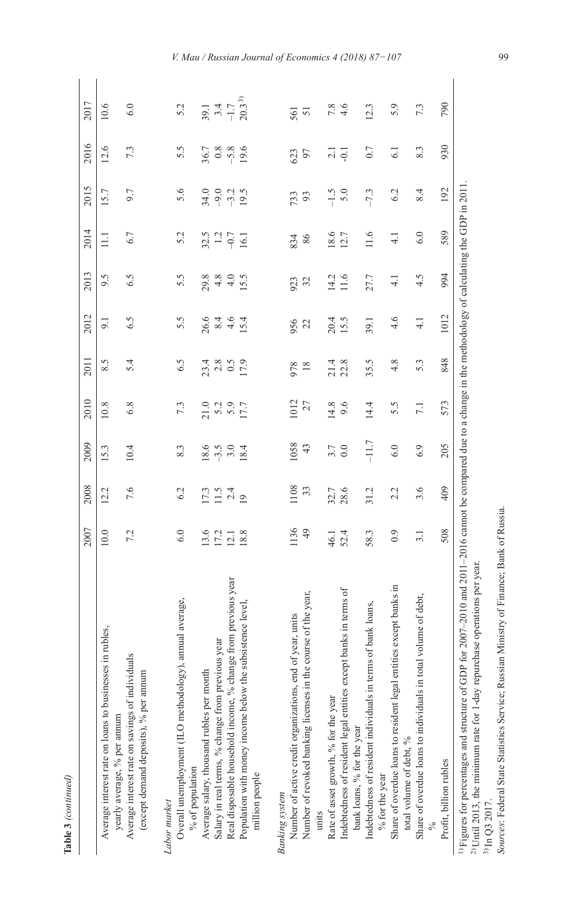Table 3 (continued) **Table 3** *(continued)*

I

|                                                                                                                                                                                                                                                                                                                                                                                       | 2007 | 2008                | 2009    | 2010               | 2011                                | 2012          | 2013          | 2014                       | 2015          | 2016                               | 2017                                             |
|---------------------------------------------------------------------------------------------------------------------------------------------------------------------------------------------------------------------------------------------------------------------------------------------------------------------------------------------------------------------------------------|------|---------------------|---------|--------------------|-------------------------------------|---------------|---------------|----------------------------|---------------|------------------------------------|--------------------------------------------------|
| es,<br>Average interest rate on loans to businesses in ruble-<br>yearly average, % per annum                                                                                                                                                                                                                                                                                          | 10.0 | 12.2                | 15.3    | 10.8               | 8.5                                 | 9.1           | 9.5           | $\Xi$                      | 15.7          | 12.6                               | 10.6                                             |
| Average interest rate on savings of individuals<br>(except demand deposits), % per annum                                                                                                                                                                                                                                                                                              | 7.2  | 7.6                 | 10.4    | 6.8                | 5.4                                 | 6.5           | 6.5           | 6.7                        | 9.7           | 7.3                                | 6.0                                              |
| Labor market                                                                                                                                                                                                                                                                                                                                                                          |      |                     |         |                    |                                     |               |               |                            |               |                                    |                                                  |
| Overall unemployment (ILO methodology), annual average,<br>% of population                                                                                                                                                                                                                                                                                                            | 6.0  | 6.2                 | 8.3     | 7.3                | 6.5                                 | 5.5           | 5.5           | 5.2                        | 5.6           | 5.5                                | 5.2                                              |
| Average salary, thousand rubles per month                                                                                                                                                                                                                                                                                                                                             | 13.6 |                     | 18.6    | 21.0               |                                     | 26.6          | 29.8          |                            | 34.0          |                                    |                                                  |
| Salary in real terms, % change from previous year                                                                                                                                                                                                                                                                                                                                     | 17.2 | $\frac{17.3}{11.4}$ | $-3.5$  | 5.2<br>5.9<br>17.7 | $23.4$<br>$2.8$<br>$17.9$<br>$17.9$ | $\frac{4}{6}$ | 4.8           | $32.5$<br>$-0.7$<br>$16.1$ | 9.2<br>9.19.5 | $36.7$<br>$0.8$<br>$9.6$<br>$19.6$ | $39.1$<br>$-1.7$<br>$-1.7$<br>20.3 <sup>3)</sup> |
| Real disposable household income, % change from previous year                                                                                                                                                                                                                                                                                                                         | 12.1 |                     |         |                    |                                     |               | $4.0$<br>15.5 |                            |               |                                    |                                                  |
| Population with money income below the subsistence level,<br>million people                                                                                                                                                                                                                                                                                                           | 18.8 |                     | 18.4    |                    |                                     | 15.4          |               |                            |               |                                    |                                                  |
| <b>Banking</b> system                                                                                                                                                                                                                                                                                                                                                                 |      |                     |         |                    |                                     |               |               |                            |               |                                    |                                                  |
| Number of active credit organizations, end of year, units                                                                                                                                                                                                                                                                                                                             | 1136 | 1108                | 1058    | 1012               | 978                                 | 956           | 923           | 834                        | 733           | 623                                | 561                                              |
| of the year,<br>Number of revoked banking licenses in the course<br>units                                                                                                                                                                                                                                                                                                             | 49   | 33                  | 43      | 27                 | $18\,$                              | 22            | 32            | $86$                       | 93            | 97                                 | 51                                               |
| Rate of asset growth, % for the year                                                                                                                                                                                                                                                                                                                                                  | 46.1 |                     | 3.7     | 14.8               |                                     | 20.4          | 14.2          | 18.6                       | $-1.5$        |                                    | $7.8\,$                                          |
| Indebtedness of resident legal entities except banks in terms of<br>bank loans, % for the year                                                                                                                                                                                                                                                                                        | 52.4 | 32.7<br>28.6        | 0.0     | 9.6                | 21.4<br>22.8                        | 15.5          | 11.6          | 12.7                       | 5.0           | $\overline{2}$ .<br>$\overline{1}$ | 4.6                                              |
| Indebtedness of resident individuals in terms of bank loans,<br>% for the year                                                                                                                                                                                                                                                                                                        | 58.3 | 31.2                | $-11.7$ | 14.4               | 35.5                                | 39.1          | 27.7          | 11.6                       | $-7.3$        | 0.7                                | 12.3                                             |
| Share of overdue loans to resident legal entities except banks in<br>total volume of debt, %                                                                                                                                                                                                                                                                                          | 0.9  | 2.2                 | 6.0     | 5.5                | 4.8                                 | 4.6           | $\frac{1}{4}$ | $\frac{1}{4}$              | 6.2           | 6.1                                | 5.9                                              |
| Share of overdue loans to individuals in total volume of debt,                                                                                                                                                                                                                                                                                                                        | 3.1  | 3.6                 | 6.9     | 7.1                | 5.3                                 | $\frac{1}{4}$ | 4.5           | 6.0                        | 8.4           | 8.3                                | 7.3                                              |
| Profit, billion rubles                                                                                                                                                                                                                                                                                                                                                                | 508  | 409                 | 205     | 573                | 848                                 | 1012          | 994           | 589                        | 192           | 930                                | 790                                              |
| <sup>1)</sup> Figures for percentages and structure of GDP for 2007-2010 and 2011-2016 cannot be compared due to a change in the methodology of calculating the GDP in 2011<br>Sources: Federal State Statistics Service; Russian Ministry of Finance; Bank of Russia.<br>$^{2)}$ Until 2013, the minimum rate for 1-day repurchase operations per year.<br><sup>3)</sup> In Q3 2017. |      |                     |         |                    |                                     |               |               |                            |               |                                    |                                                  |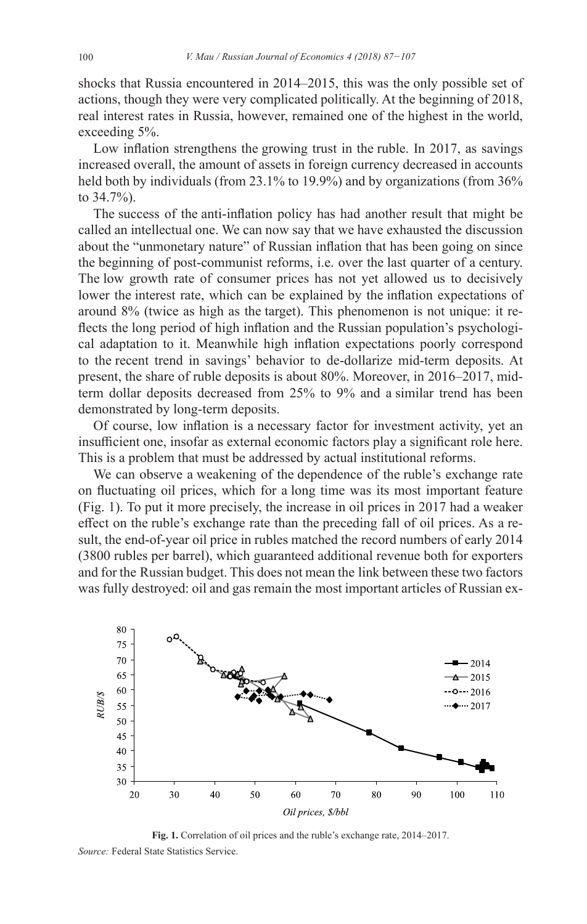shocks that Russia encountered in 2014–2015, this was the only possible set of actions, though they were very complicated politically. At the beginning of 2018, real interest rates in Russia, however, remained one of the highest in the world, exceeding 5%.

Low inflation strengthens the growing trust in the ruble. In 2017, as savings increased overall, the amount of assets in foreign currency decreased in accounts held both by individuals (from 23.1% to 19.9%) and by organizations (from 36% to 34.7%).

The success of the anti-inflation policy has had another result that might be called an intellectual one. We can now say that we have exhausted the discussion about the "unmonetary nature" of Russian inflation that has been going on since the beginning of post-communist reforms, i.e. over the last quarter of a century. The low growth rate of consumer prices has not yet allowed us to decisively lower the interest rate, which can be explained by the inflation expectations of around 8% (twice as high as the target). This phenomenon is not unique: it reflects the long period of high inflation and the Russian population's psychological adaptation to it. Meanwhile high inflation expectations poorly correspond to the recent trend in savings' behavior to de-dollarize mid-term deposits. At present, the share of ruble deposits is about 80%. Moreover, in 2016–2017, midterm dollar deposits decreased from 25% to 9% and a similar trend has been demonstrated by long-term deposits.

Of course, low inflation is a necessary factor for investment activity, yet an insufficient one, insofar as external economic factors play a significant role here. This is a problem that must be addressed by actual institutional reforms.

We can observe a weakening of the dependence of the ruble's exchange rate on fluctuating oil prices, which for a long time was its most important feature (Fig. 1). To put it more precisely, the increase in oil prices in 2017 had a weaker effect on the ruble's exchange rate than the preceding fall of oil prices. As a result, the end-of-year oil price in rubles matched the record numbers of early 2014 (3800 rubles per barrel), which guaranteed additional revenue both for exporters and for the Russian budget. This does not mean the link between these two factors was fully destroyed: oil and gas remain the most important articles of Russian ex-



**Fig. 1.** Correlation of oil prices and the ruble's exchange rate, 2014–2017. *Source:* Federal State Statistics Service.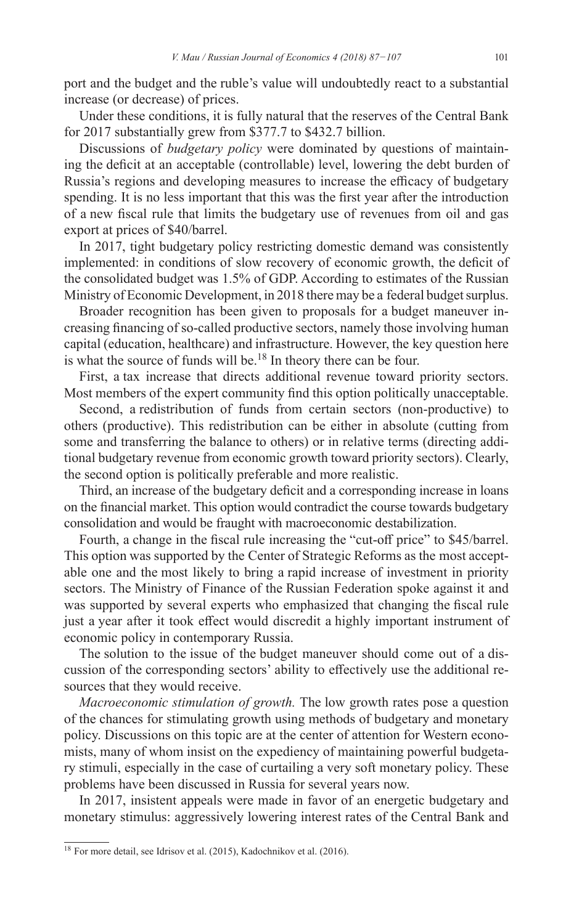port and the budget and the ruble's value will undoubtedly react to a substantial increase (or decrease) of prices.

Under these conditions, it is fully natural that the reserves of the Central Bank for 2017 substantially grew from \$377.7 to \$432.7 billion.

Discussions of *budgetary policy* were dominated by questions of maintaining the deficit at an acceptable (controllable) level, lowering the debt burden of Russia's regions and developing measures to increase the efficacy of budgetary spending. It is no less important that this was the first year after the introduction of a new fiscal rule that limits the budgetary use of revenues from oil and gas export at prices of \$40/barrel.

In 2017, tight budgetary policy restricting domestic demand was consistently implemented: in conditions of slow recovery of economic growth, the deficit of the consolidated budget was 1.5% of GDP. According to estimates of the Russian Ministry of Economic Development, in 2018 there may be a federal budget surplus.

Broader recognition has been given to proposals for a budget maneuver increasing financing of so-called productive sectors, namely those involving human capital (education, healthcare) and infrastructure. However, the key question here is what the source of funds will be.<sup>18</sup> In theory there can be four.

First, a tax increase that directs additional revenue toward priority sectors. Most members of the expert community find this option politically unacceptable.

Second, a redistribution of funds from certain sectors (non-productive) to others (productive). This redistribution can be either in absolute (cutting from some and transferring the balance to others) or in relative terms (directing additional budgetary revenue from economic growth toward priority sectors). Clearly, the second option is politically preferable and more realistic.

Third, an increase of the budgetary deficit and a corresponding increase in loans on the financial market. This option would contradict the course towards budgetary consolidation and would be fraught with macroeconomic destabilization.

Fourth, a change in the fiscal rule increasing the "cut-off price" to \$45/barrel. This option was supported by the Center of Strategic Reforms as the most acceptable one and the most likely to bring a rapid increase of investment in priority sectors. The Ministry of Finance of the Russian Federation spoke against it and was supported by several experts who emphasized that changing the fiscal rule just a year after it took effect would discredit a highly important instrument of economic policy in contemporary Russia.

The solution to the issue of the budget maneuver should come out of a discussion of the corresponding sectors' ability to effectively use the additional resources that they would receive.

*Macroeconomic stimulation of growth.* The low growth rates pose a question of the chances for stimulating growth using methods of budgetary and monetary policy. Discussions on this topic are at the center of attention for Western economists, many of whom insist on the expediency of maintaining powerful budgetary stimuli, especially in the case of curtailing a very soft monetary policy. These problems have been discussed in Russia for several years now.

In 2017, insistent appeals were made in favor of an energetic budgetary and monetary stimulus: aggressively lowering interest rates of the Central Bank and

<sup>18</sup> For more detail, see Idrisov et al. (2015), Kadochnikov et al. (2016).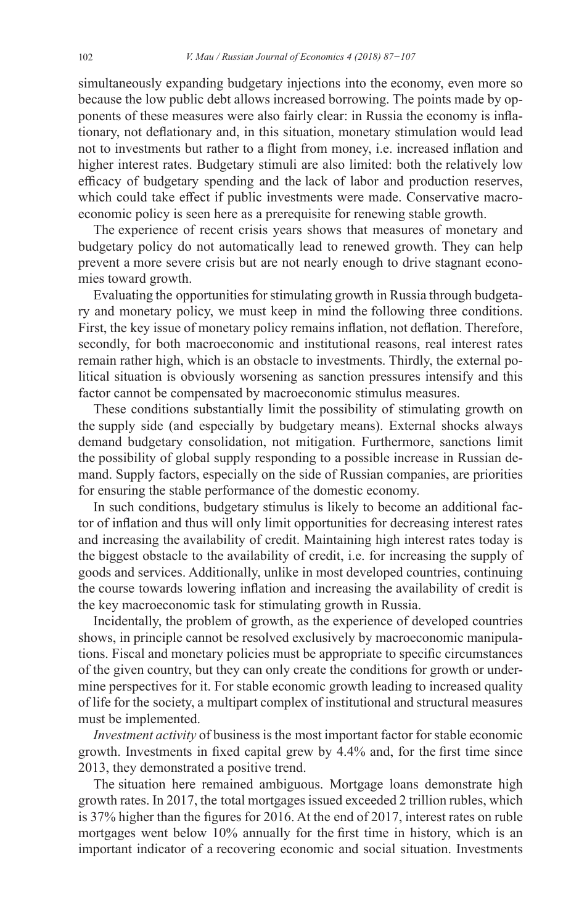simultaneously expanding budgetary injections into the economy, even more so because the low public debt allows increased borrowing. The points made by opponents of these measures were also fairly clear: in Russia the economy is inflationary, not deflationary and, in this situation, monetary stimulation would lead not to investments but rather to a flight from money, i.e. increased inflation and higher interest rates. Budgetary stimuli are also limited: both the relatively low efficacy of budgetary spending and the lack of labor and production reserves, which could take effect if public investments were made. Conservative macroeconomic policy is seen here as a prerequisite for renewing stable growth.

The experience of recent crisis years shows that measures of monetary and budgetary policy do not automatically lead to renewed growth. They can help prevent a more severe crisis but are not nearly enough to drive stagnant economies toward growth.

Evaluating the opportunities for stimulating growth in Russia through budgetary and monetary policy, we must keep in mind the following three conditions. First, the key issue of monetary policy remains inflation, not deflation. Therefore, secondly, for both macroeconomic and institutional reasons, real interest rates remain rather high, which is an obstacle to investments. Thirdly, the external political situation is obviously worsening as sanction pressures intensify and this factor cannot be compensated by macroeconomic stimulus measures.

These conditions substantially limit the possibility of stimulating growth on the supply side (and especially by budgetary means). External shocks always demand budgetary consolidation, not mitigation. Furthermore, sanctions limit the possibility of global supply responding to a possible increase in Russian demand. Supply factors, especially on the side of Russian companies, are priorities for ensuring the stable performance of the domestic economy.

In such conditions, budgetary stimulus is likely to become an additional factor of inflation and thus will only limit opportunities for decreasing interest rates and increasing the availability of credit. Maintaining high interest rates today is the biggest obstacle to the availability of credit, i.e. for increasing the supply of goods and services. Additionally, unlike in most developed countries, continuing the course towards lowering inflation and increasing the availability of credit is the key macroeconomic task for stimulating growth in Russia.

Incidentally, the problem of growth, as the experience of developed countries shows, in principle cannot be resolved exclusively by macroeconomic manipulations. Fiscal and monetary policies must be appropriate to specific circumstances of the given country, but they can only create the conditions for growth or undermine perspectives for it. For stable economic growth leading to increased quality of life for the society, a multipart complex of institutional and structural measures must be implemented.

*Investment activity* of business is the most important factor for stable economic growth. Investments in fixed capital grew by 4.4% and, for the first time since 2013, they demonstrated a positive trend.

The situation here remained ambiguous. Mortgage loans demonstrate high growth rates. In 2017, the total mortgages issued exceeded 2 trillion rubles, which is 37% higher than the figures for 2016. At the end of 2017, interest rates on ruble mortgages went below 10% annually for the first time in history, which is an important indicator of a recovering economic and social situation. Investments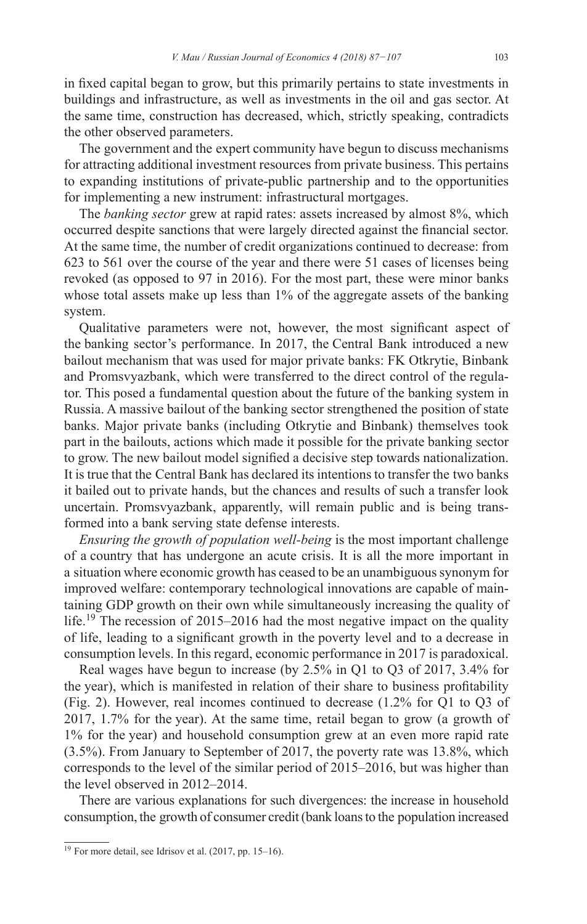in fixed capital began to grow, but this primarily pertains to state investments in buildings and infrastructure, as well as investments in the oil and gas sector. At the same time, construction has decreased, which, strictly speaking, contradicts the other observed parameters.

The government and the expert community have begun to discuss mechanisms for attracting additional investment resources from private business. This pertains to expanding institutions of private-public partnership and to the opportunities for implementing a new instrument: infrastructural mortgages.

The *banking sector* grew at rapid rates: assets increased by almost 8%, which occurred despite sanctions that were largely directed against the financial sector. At the same time, the number of credit organizations continued to decrease: from 623 to 561 over the course of the year and there were 51 cases of licenses being revoked (as opposed to 97 in 2016). For the most part, these were minor banks whose total assets make up less than 1% of the aggregate assets of the banking system.

Qualitative parameters were not, however, the most significant aspect of the banking sector's performance. In 2017, the Central Bank introduced a new bailout mechanism that was used for major private banks: FK Otkrytie, Binbank and Promsvyazbank, which were transferred to the direct control of the regulator. This posed a fundamental question about the future of the banking system in Russia. A massive bailout of the banking sector strengthened the position of state banks. Major private banks (including Otkrytie and Binbank) themselves took part in the bailouts, actions which made it possible for the private banking sector to grow. The new bailout model signified a decisive step towards nationalization. It is true that the Central Bank has declared its intentions to transfer the two banks it bailed out to private hands, but the chances and results of such a transfer look uncertain. Promsvyazbank, apparently, will remain public and is being transformed into a bank serving state defense interests.

*Ensuring the growth of population well-being* is the most important challenge of a country that has undergone an acute crisis. It is all the more important in a situation where economic growth has ceased to be an unambiguous synonym for improved welfare: contemporary technological innovations are capable of maintaining GDP growth on their own while simultaneously increasing the quality of life.<sup>19</sup> The recession of 2015–2016 had the most negative impact on the quality of life, leading to a significant growth in the poverty level and to a decrease in consumption levels. In this regard, economic performance in 2017 is paradoxical.

Real wages have begun to increase (by 2.5% in Q1 to Q3 of 2017, 3.4% for the year), which is manifested in relation of their share to business profitability (Fig. 2). However, real incomes continued to decrease (1.2% for Q1 to Q3 of 2017, 1.7% for the year). At the same time, retail began to grow (a growth of 1% for the year) and household consumption grew at an even more rapid rate (3.5%). From January to September of 2017, the poverty rate was 13.8%, which corresponds to the level of the similar period of 2015–2016, but was higher than the level observed in 2012–2014.

There are various explanations for such divergences: the increase in household consumption, the growth of consumer credit (bank loans to the population increased

 $19$  For more detail, see Idrisov et al. (2017, pp. 15–16).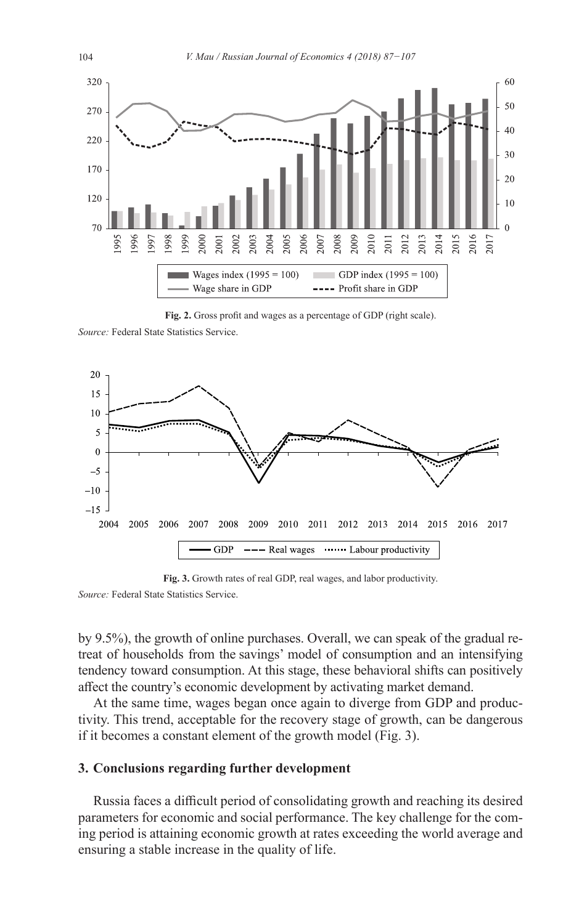

**Fig. 2.** Gross profit and wages as a percentage of GDP (right scale).

*Source:* Federal State Statistics Service.



**Fig. 3.** Growth rates of real GDP, real wages, and labor productivity.

*Source:* Federal State Statistics Service.

by 9.5%), the growth of online purchases. Overall, we can speak of the gradual retreat of households from the savings' model of consumption and an intensifying tendency toward consumption. At this stage, these behavioral shifts can positively affect the country's economic development by activating market demand.

At the same time, wages began once again to diverge from GDP and productivity. This trend, acceptable for the recovery stage of growth, can be dangerous if it becomes a constant element of the growth model (Fig. 3).

## **3. Conclusions regarding further development**

Russia faces a difficult period of consolidating growth and reaching its desired parameters for economic and social performance. The key challenge for the coming period is attaining economic growth at rates exceeding the world average and ensuring a stable increase in the quality of life.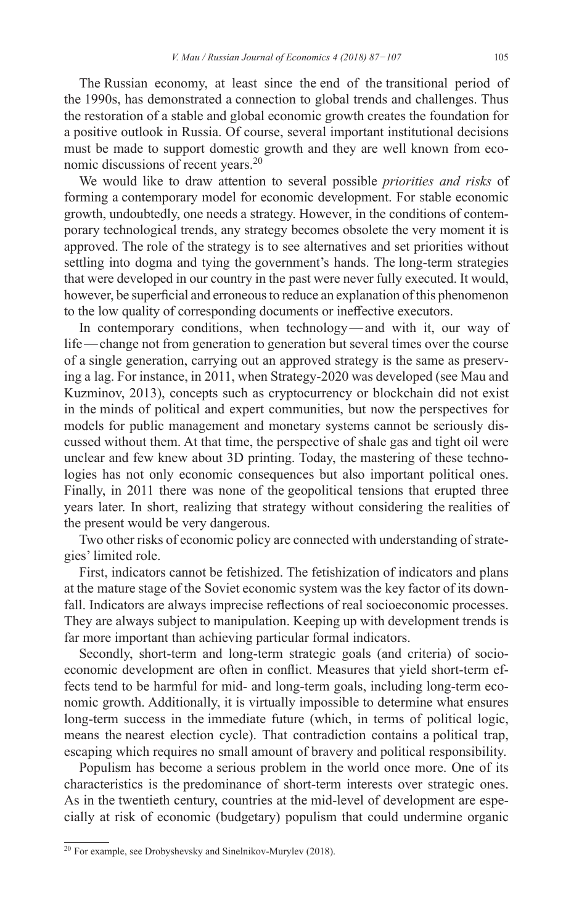The Russian economy, at least since the end of the transitional period of the 1990s, has demonstrated a connection to global trends and challenges. Thus the restoration of a stable and global economic growth creates the foundation for a positive outlook in Russia. Of course, several important institutional decisions must be made to support domestic growth and they are well known from economic discussions of recent years.<sup>20</sup>

We would like to draw attention to several possible *priorities and risks* of forming a contemporary model for economic development. For stable economic growth, undoubtedly, one needs a strategy. However, in the conditions of contemporary technological trends, any strategy becomes obsolete the very moment it is approved. The role of the strategy is to see alternatives and set priorities without settling into dogma and tying the government's hands. The long-term strategies that were developed in our country in the past were never fully executed. It would, however, be superficial and erroneous to reduce an explanation of this phenomenon to the low quality of corresponding documents or ineffective executors.

In contemporary conditions, when technology—and with it, our way of life—change not from generation to generation but several times over the course of a single generation, carrying out an approved strategy is the same as preserving a lag. For instance, in 2011, when Strategy-2020 was developed (see Mau and Kuzminov, 2013), concepts such as cryptocurrency or blockchain did not exist in the minds of political and expert communities, but now the perspectives for models for public management and monetary systems cannot be seriously discussed without them. At that time, the perspective of shale gas and tight oil were unclear and few knew about 3D printing. Today, the mastering of these technologies has not only economic consequences but also important political ones. Finally, in 2011 there was none of the geopolitical tensions that erupted three years later. In short, realizing that strategy without considering the realities of the present would be very dangerous.

Two other risks of economic policy are connected with understanding of strategies' limited role.

First, indicators cannot be fetishized. The fetishization of indicators and plans at the mature stage of the Soviet economic system was the key factor of its downfall. Indicators are always imprecise reflections of real socioeconomic processes. They are always subject to manipulation. Keeping up with development trends is far more important than achieving particular formal indicators.

Secondly, short-term and long-term strategic goals (and criteria) of socioeconomic development are often in conflict. Measures that yield short-term effects tend to be harmful for mid- and long-term goals, including long-term economic growth. Additionally, it is virtually impossible to determine what ensures long-term success in the immediate future (which, in terms of political logic, means the nearest election cycle). That contradiction contains a political trap, escaping which requires no small amount of bravery and political responsibility.

Populism has become a serious problem in the world once more. One of its characteristics is the predominance of short-term interests over strategic ones. As in the twentieth century, countries at the mid-level of development are especially at risk of economic (budgetary) populism that could undermine organic

 $20$  For example, see Drobyshevsky and Sinelnikov-Murylev (2018).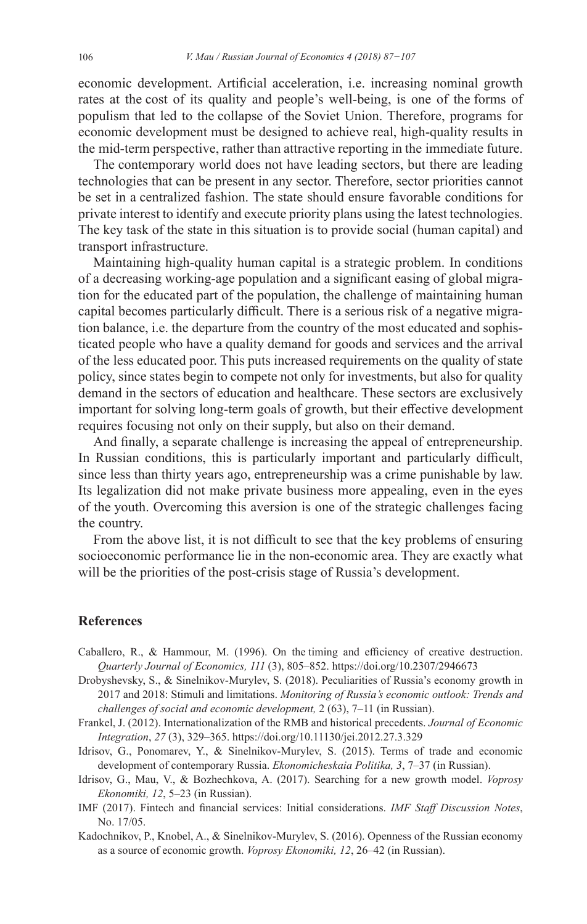economic development. Artificial acceleration, i.e. increasing nominal growth rates at the cost of its quality and people's well-being, is one of the forms of populism that led to the collapse of the Soviet Union. Therefore, programs for economic development must be designed to achieve real, high-quality results in the mid-term perspective, rather than attractive reporting in the immediate future.

The contemporary world does not have leading sectors, but there are leading technologies that can be present in any sector. Therefore, sector priorities cannot be set in a centralized fashion. The state should ensure favorable conditions for private interest to identify and execute priority plans using the latest technologies. The key task of the state in this situation is to provide social (human capital) and transport infrastructure.

Maintaining high-quality human capital is a strategic problem. In conditions of a decreasing working-age population and a significant easing of global migration for the educated part of the population, the challenge of maintaining human capital becomes particularly difficult. There is a serious risk of a negative migration balance, i.e. the departure from the country of the most educated and sophisticated people who have a quality demand for goods and services and the arrival of the less educated poor. This puts increased requirements on the quality of state policy, since states begin to compete not only for investments, but also for quality demand in the sectors of education and healthcare. These sectors are exclusively important for solving long-term goals of growth, but their effective development requires focusing not only on their supply, but also on their demand.

And finally, a separate challenge is increasing the appeal of entrepreneurship. In Russian conditions, this is particularly important and particularly difficult, since less than thirty years ago, entrepreneurship was a crime punishable by law. Its legalization did not make private business more appealing, even in the eyes of the youth. Overcoming this aversion is one of the strategic challenges facing the country.

From the above list, it is not difficult to see that the key problems of ensuring socioeconomic performance lie in the non-economic area. They are exactly what will be the priorities of the post-crisis stage of Russia's development.

#### **References**

- Caballero, R., & Hammour, M. (1996). On the timing and efficiency of creative destruction. *Quarterly Journal of Economics, 111* (3), 805–852. <https://doi.org/10.2307/2946673>
- Drobyshevsky, S., & Sinelnikov-Murylev, S. (2018). Peculiarities of Russia's economy growth in 2017 and 2018: Stimuli and limitations. *Monitoring of Russia's economic outlook: Trends and challenges of social and economic development,* 2 (63), 7–11 (in Russian).
- Frankel, J. (2012). Internationalization of the RMB and historical precedents. *Journal of Economic Integration*, *27* (3), 329–365.<https://doi.org/10.11130/jei.2012.27.3.329>
- Idrisov, G., Ponomarev, Y., & Sinelnikov-Murylev, S. (2015). Terms of trade and economic development of contemporary Russia. *Ekonomicheskaia Politika, 3*, 7–37 (in Russian).
- Idrisov, G., Mau, V., & Bozhechkova, A. (2017). Searching for a new growth model. *Voprosy Ekonomiki, 12*, 5–23 (in Russian).
- IMF (2017). Fintech and financial services: Initial considerations. *IMF Staff Discussion Notes*, No. 17/05.
- Kadochnikov, P., Knobel, A., & Sinelnikov-Murylev, S. (2016). Openness of the Russian economy as a source of economic growth. *Voprosy Ekonomiki, 12*, 26–42 (in Russian).